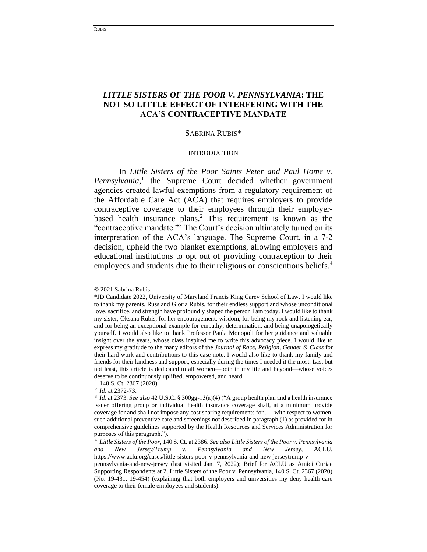# *LITTLE SISTERS OF THE POOR V. PENNSYLVANIA***: THE NOT SO LITTLE EFFECT OF INTERFERING WITH THE ACA'S CONTRACEPTIVE MANDATE**

### SABRINA RUBIS\*

### INTRODUCTION

In *Little Sisters of the Poor Saints Peter and Paul Home v.* Pennsylvania,<sup>1</sup> the Supreme Court decided whether government agencies created lawful exemptions from a regulatory requirement of the Affordable Care Act (ACA) that requires employers to provide contraceptive coverage to their employees through their employerbased health insurance plans.<sup>2</sup> This requirement is known as the "contraceptive mandate."<sup>3</sup> The Court's decision ultimately turned on its interpretation of the ACA's language. The Supreme Court, in a 7-2 decision, upheld the two blanket exemptions, allowing employers and educational institutions to opt out of providing contraception to their employees and students due to their religious or conscientious beliefs. 4

<sup>© 2021</sup> Sabrina Rubis

<sup>\*</sup>JD Candidate 2022, University of Maryland Francis King Carey School of Law. I would like to thank my parents, Russ and Gloria Rubis, for their endless support and whose unconditional love, sacrifice, and strength have profoundly shaped the person I am today. I would like to thank my sister, Oksana Rubis, for her encouragement, wisdom, for being my rock and listening ear, and for being an exceptional example for empathy, determination, and being unapologetically yourself. I would also like to thank Professor Paula Monopoli for her guidance and valuable insight over the years, whose class inspired me to write this advocacy piece. I would like to express my gratitude to the many editors of the *Journal of Race, Religion, Gender & Class* for their hard work and contributions to this case note. I would also like to thank my family and friends for their kindness and support, especially during the times I needed it the most. Last but not least, this article is dedicated to all women—both in my life and beyond—whose voices deserve to be continuously uplifted, empowered, and heard.

<sup>&</sup>lt;sup>1</sup> 140 S. Ct. 2367 (2020).

<sup>2</sup> *Id*. at 2372-73.

<sup>3</sup> *Id*. at 2373. *See also* 42 U.S.C. § 300gg-13(a)(4) ("A group health plan and a health insurance issuer offering group or individual health insurance coverage shall, at a minimum provide coverage for and shall not impose any cost sharing requirements for . . . with respect to women, such additional preventive care and screenings not described in paragraph (1) as provided for in comprehensive guidelines supported by the Health Resources and Services Administration for purposes of this paragraph.").

<sup>4</sup> *Little Sisters of the Poor*, 140 S. Ct. at 2386. *See also Little Sisters of the Poor v. Pennsylvania and New Jersey/Trump v. Pennsylvania and New Jersey*, ACLU, https://www.aclu.org/cases/little-sisters-poor-v-pennsylvania-and-new-jerseytrump-v-

pennsylvania-and-new-jersey (last visited Jan. 7, 2022); Brief for ACLU as Amici Curiae Supporting Respondents at 2, Little Sisters of the Poor v. Pennsylvania, 140 S. Ct. 2367 (2020) (No. 19-431, 19-454) (explaining that both employers and universities my deny health care coverage to their female employees and students).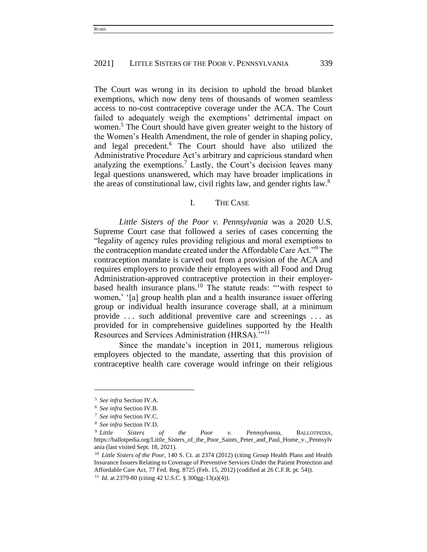The Court was wrong in its decision to uphold the broad blanket exemptions, which now deny tens of thousands of women seamless access to no-cost contraceptive coverage under the ACA. The Court failed to adequately weigh the exemptions' detrimental impact on women.<sup>5</sup> The Court should have given greater weight to the history of the Women's Health Amendment, the role of gender in shaping policy, and legal precedent.<sup>6</sup> The Court should have also utilized the Administrative Procedure Act's arbitrary and capricious standard when analyzing the exemptions.<sup>7</sup> Lastly, the Court's decision leaves many legal questions unanswered, which may have broader implications in the areas of constitutional law, civil rights law, and gender rights law.<sup>8</sup>

## I. THE CASE

*Little Sisters of the Poor v. Pennsylvania* was a 2020 U.S. Supreme Court case that followed a series of cases concerning the "legality of agency rules providing religious and moral exemptions to the contraception mandate created under the Affordable Care Act."<sup>9</sup> The contraception mandate is carved out from a provision of the ACA and requires employers to provide their employees with all Food and Drug Administration-approved contraceptive protection in their employerbased health insurance plans.<sup>10</sup> The statute reads: "'with respect to women,' '[a] group health plan and a health insurance issuer offering group or individual health insurance coverage shall, at a minimum provide . . . such additional preventive care and screenings . . . as provided for in comprehensive guidelines supported by the Health Resources and Services Administration (HRSA)."<sup>11</sup>

Since the mandate's inception in 2011, numerous religious employers objected to the mandate, asserting that this provision of contraceptive health care coverage would infringe on their religious

<sup>5</sup> *See infra* Section IV.A.

<sup>6</sup> *See infra* Section IV.B.

<sup>7</sup> *See infra* Section IV.C.

<sup>8</sup> *See infra* Section IV.D.

<sup>9</sup> *Little Sisters of the Poor v. Pennsylvania*, BALLOTPEDIA, https://ballotpedia.org/Little\_Sisters\_of\_the\_Poor\_Saints\_Peter\_and\_Paul\_Home\_v.\_Pennsylv ania (last visited Sept. 18, 2021).

<sup>10</sup> *Little Sisters of the Poor*, 140 S. Ct. at 2374 (2012) (citing Group Health Plans and Health Insurance Issuers Relating to Coverage of Preventive Services Under the Patient Protection and Affordable Care Act, 77 Fed. Reg. 8725 (Feb. 15, 2012) (codified at 26 C.F.R. pt. 54)).

<sup>11</sup> *Id.* at 2379-80 (citing 42 U.S.C. § 300gg-13(a)(4)).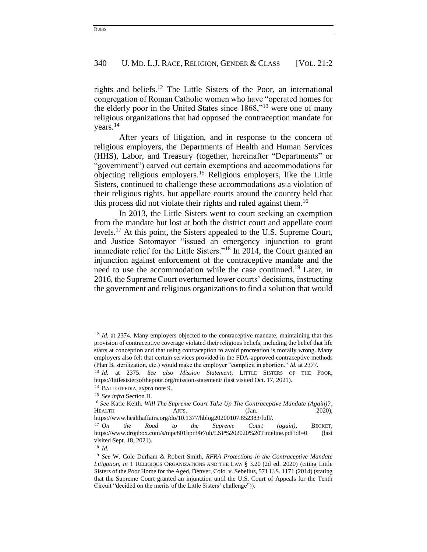rights and beliefs.<sup>12</sup> The Little Sisters of the Poor, an international congregation of Roman Catholic women who have "operated homes for the elderly poor in the United States since 1868,"<sup>13</sup> were one of many religious organizations that had opposed the contraception mandate for years.<sup>14</sup>

After years of litigation, and in response to the concern of religious employers, the Departments of Health and Human Services (HHS), Labor, and Treasury (together, hereinafter "Departments" or "government") carved out certain exemptions and accommodations for objecting religious employers.<sup>15</sup> Religious employers, like the Little Sisters, continued to challenge these accommodations as a violation of their religious rights, but appellate courts around the country held that this process did not violate their rights and ruled against them.<sup>16</sup>

In 2013, the Little Sisters went to court seeking an exemption from the mandate but lost at both the district court and appellate court levels.<sup>17</sup> At this point, the Sisters appealed to the U.S. Supreme Court, and Justice Sotomayor "issued an emergency injunction to grant immediate relief for the Little Sisters."<sup>18</sup> In 2014, the Court granted an injunction against enforcement of the contraceptive mandate and the need to use the accommodation while the case continued.<sup>19</sup> Later, in 2016, the Supreme Court overturned lower courts' decisions, instructing the government and religious organizations to find a solution that would

<sup>&</sup>lt;sup>12</sup> *Id.* at 2374. Many employers objected to the contraceptive mandate, maintaining that this provision of contraceptive coverage violated their religious beliefs, including the belief that life starts at conception and that using contraception to avoid procreation is morally wrong. Many employers also felt that certain services provided in the FDA-approved contraceptive methods (Plan B, sterilization, etc.) would make the employer "complicit in abortion." *Id.* at 2377.

<sup>13</sup> *Id.* at 2375. *See also Mission Statement*, LITTLE SISTERS OF THE POOR, <https://littlesistersofthepoor.org/mission-statement/> (last visited Oct. 17, 2021).

<sup>14</sup> BALLOTPEDIA, *supra* note 9.

<sup>15</sup> *See infra* Section II.

<sup>16</sup> *See* Katie Keith, *Will The Supreme Court Take Up The Contraceptive Mandate (Again)?*, HEALTH **AFFS.** AFFS. (Jan. 2020), https://www.healthaffairs.org/do/10.1377/hblog20200107.852383/full/.

<sup>17</sup> *On the Road to the Supreme Court (again)*, BECKET, https://www.dropbox.com/s/mpc801bpr34r7uh/LSP%202020%20Timeline.pdf?dl=0 (last visited Sept. 18, 2021).

<sup>18</sup> *Id.*

<sup>19</sup> *See* W. Cole Durham & Robert Smith, *RFRA Protections in the Contraceptive Mandate Litigation*, *in* 1 RELIGIOUS ORGANIZATIONS AND THE LAW § 3.20 (2d ed. 2020) (citing Little Sisters of the Poor Home for the Aged, Denver, Colo. v. Sebelius, 571 U.S. 1171 (2014) (stating that the Supreme Court granted an injunction until the U.S. Court of Appeals for the Tenth Circuit "decided on the merits of the Little Sisters' challenge")).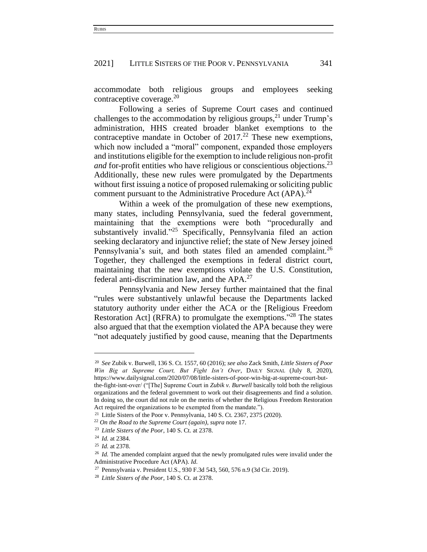accommodate both religious groups and employees seeking contraceptive coverage. $^{20}$ 

Following a series of Supreme Court cases and continued challenges to the accommodation by religious groups, $^{21}$  under Trump's administration, HHS created broader blanket exemptions to the contraceptive mandate in October of  $2017<sup>22</sup>$  These new exemptions, which now included a "moral" component, expanded those employers and institutions eligible for the exemption to include religious non-profit *and* for-profit entities who have religious or conscientious objections.<sup>23</sup> Additionally, these new rules were promulgated by the Departments without first issuing a notice of proposed rulemaking or soliciting public comment pursuant to the Administrative Procedure Act  $(APA).^{24}$ 

Within a week of the promulgation of these new exemptions, many states, including Pennsylvania, sued the federal government, maintaining that the exemptions were both "procedurally and substantively invalid."<sup>25</sup> Specifically, Pennsylvania filed an action seeking declaratory and injunctive relief; the state of New Jersey joined Pennsylvania's suit, and both states filed an amended complaint.<sup>26</sup> Together, they challenged the exemptions in federal district court, maintaining that the new exemptions violate the U.S. Constitution, federal anti-discrimination law, and the APA.<sup>27</sup>

Pennsylvania and New Jersey further maintained that the final "rules were substantively unlawful because the Departments lacked statutory authority under either the ACA or the [Religious Freedom Restoration Act] (RFRA) to promulgate the exemptions."<sup>28</sup> The states also argued that that the exemption violated the APA because they were "not adequately justified by good cause, meaning that the Departments

<sup>20</sup> *See* Zubik v. Burwell, 136 S. Ct. 1557, 60 (2016); *see also* Zack Smith, *Little Sisters of Poor Win Big at Supreme Court, But Fight Isn't Over*, DAILY SIGNAL (July 8, 2020), https://www.dailysignal.com/2020/07/08/little-sisters-of-poor-win-big-at-supreme-court-butthe-fight-isnt-over/ ("[The] Supreme Court in *Zubik v. Burwell* basically told both the religious organizations and the federal government to work out their disagreements and find a solution. In doing so, the court did not rule on the merits of whether the Religious Freedom Restoration Act required the organizations to be exempted from the mandate.").

<sup>&</sup>lt;sup>21</sup> Little Sisters of the Poor v. Pennsylvania,  $140$  S. Ct. 2367, 2375 (2020).

<sup>22</sup> *On the Road to the Supreme Court (again)*, *supra* note 17.

<sup>23</sup> *Little Sisters of the Poor*, 140 S. Ct. at 2378.

<sup>24</sup> *Id.* at 2384.

<sup>25</sup> *Id.* at 2378.

<sup>&</sup>lt;sup>26</sup> *Id.* The amended complaint argued that the newly promulgated rules were invalid under the Administrative Procedure Act (APA). *Id.*

<sup>27</sup> Pennsylvania v. President U.S., 930 F.3d 543, 560, 576 n.9 (3d Cir. 2019).

<sup>28</sup> *Little Sisters of the Poor*, 140 S. Ct. at 2378.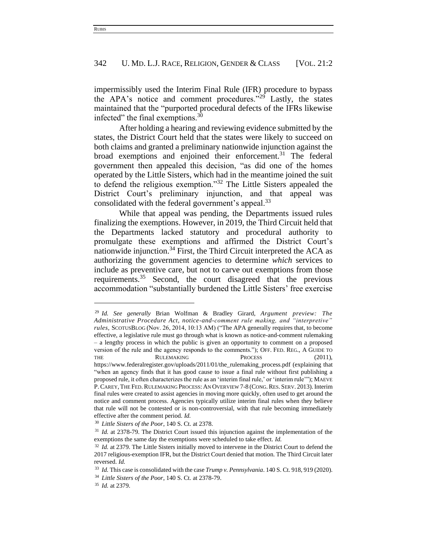impermissibly used the Interim Final Rule (IFR) procedure to bypass the APA's notice and comment procedures."<sup>29</sup> Lastly, the states maintained that the "purported procedural defects of the IFRs likewise infected" the final exemptions.<sup>30</sup>

After holding a hearing and reviewing evidence submitted by the states, the District Court held that the states were likely to succeed on both claims and granted a preliminary nationwide injunction against the broad exemptions and enjoined their enforcement.<sup>31</sup> The federal government then appealed this decision, "as did one of the homes operated by the Little Sisters, which had in the meantime joined the suit to defend the religious exemption."<sup>32</sup> The Little Sisters appealed the District Court's preliminary injunction, and that appeal was consolidated with the federal government's appeal.<sup>33</sup>

While that appeal was pending, the Departments issued rules finalizing the exemptions. However, in 2019, the Third Circuit held that the Departments lacked statutory and procedural authority to promulgate these exemptions and affirmed the District Court's nationwide injunction.<sup>34</sup> First, the Third Circuit interpreted the ACA as authorizing the government agencies to determine *which* services to include as preventive care, but not to carve out exemptions from those requirements.<sup>35</sup> Second, the court disagreed that the previous accommodation "substantially burdened the Little Sisters' free exercise

<sup>29</sup> *Id. See generally* Brian Wolfman & Bradley Girard, *Argument preview: The Administrative Procedure Act, notice-and-comment rule making, and "interpretive" rules*, SCOTUSBLOG (Nov. 26, 2014, 10:13 AM) ("The APA generally requires that, to become effective, a legislative rule must go through what is known as notice-and-comment rulemaking – a lengthy process in which the public is given an opportunity to comment on a proposed version of the rule and the agency responds to the comments."); OFF. FED. REG., A GUIDE TO THE RULEMAKING PROCESS (2011), [https://www.federalregister.gov/uploads/2011/01/the\\_rulemaking\\_process.pdf](https://www.federalregister.gov/uploads/2011/01/the_rulemaking_process.pdf) (explaining that "when an agency finds that it has good cause to issue a final rule without first publishing a proposed rule, it often characterizes the rule as an 'interim final rule,' or 'interim rule'"); MAEVE P.CAREY,THE FED.RULEMAKING PROCESS: AN OVERVIEW 7-8 (CONG.RES. SERV. 2013). Interim final rules were created to assist agencies in moving more quickly, often used to get around the notice and comment process. Agencies typically utilize interim final rules when they believe that rule will not be contested or is non-controversial, with that rule becoming immediately effective after the comment period. *Id.*

<sup>30</sup> *Little Sisters of the Poor*, 140 S. Ct. at 2378.

<sup>&</sup>lt;sup>31</sup> *Id.* at 2378-79. The District Court issued this injunction against the implementation of the exemptions the same day the exemptions were scheduled to take effect. *Id.*

<sup>&</sup>lt;sup>32</sup> *Id.* at 2379. The Little Sisters initially moved to intervene in the District Court to defend the 2017 religious-exemption IFR, but the District Court denied that motion. The Third Circuit later reversed. *Id.*

<sup>33</sup> *Id.* This case is consolidated with the case *Trump v. Pennsylvania*. 140 S. Ct. 918, 919 (2020).

<sup>34</sup> *Little Sisters of the Poor*, 140 S. Ct. at 2378-79.

<sup>35</sup> *Id.* at 2379.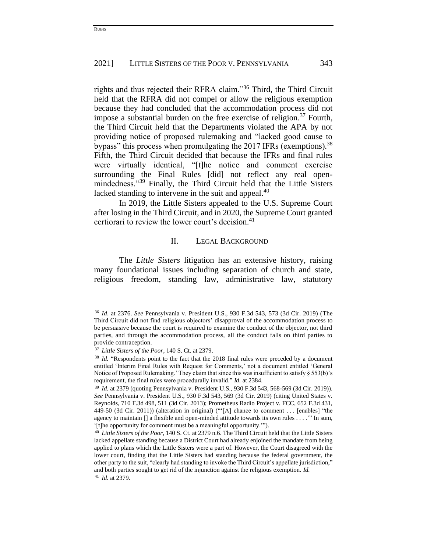rights and thus rejected their RFRA claim."<sup>36</sup> Third, the Third Circuit held that the RFRA did not compel or allow the religious exemption because they had concluded that the accommodation process did not impose a substantial burden on the free exercise of religion.<sup>37</sup> Fourth, the Third Circuit held that the Departments violated the APA by not providing notice of proposed rulemaking and "lacked good cause to bypass" this process when promulgating the 2017 IFRs (exemptions).<sup>38</sup> Fifth, the Third Circuit decided that because the IFRs and final rules were virtually identical, "[t]he notice and comment exercise surrounding the Final Rules [did] not reflect any real openmindedness."<sup>39</sup> Finally, the Third Circuit held that the Little Sisters lacked standing to intervene in the suit and appeal.<sup>40</sup>

In 2019, the Little Sisters appealed to the U.S. Supreme Court after losing in the Third Circuit, and in 2020, the Supreme Court granted certiorari to review the lower court's decision.<sup>41</sup>

## II. LEGAL BACKGROUND

The *Little Sisters* litigation has an extensive history, raising many foundational issues including separation of church and state, religious freedom, standing law, administrative law, statutory

<sup>36</sup> *Id*. at 2376. *See* Pennsylvania v. President U.S., 930 F.3d 543, 573 (3d Cir. 2019) (The Third Circuit did not find religious objectors' disapproval of the accommodation process to be persuasive because the court is required to examine the conduct of the objector, not third parties, and through the accommodation process, all the conduct falls on third parties to provide contraception.

<sup>37</sup> *Little Sisters of the Poor*, 140 S. Ct. at 2379.

<sup>&</sup>lt;sup>38</sup> *Id.* "Respondents point to the fact that the 2018 final rules were preceded by a document entitled 'Interim Final Rules with Request for Comments,' not a document entitled 'General Notice of Proposed Rulemaking.' They claim that since this was insufficient to satisfy § 553(b)'s requirement, the final rules were procedurally invalid." *Id.* at 2384.

<sup>39</sup> *Id.* at 2379 (quoting Pennsylvania v. President U.S., 930 F.3d 543, 568-569 (3d Cir. 2019)). *See* Pennsylvania v. President U.S., 930 F.3d 543, 569 (3d Cir. 2019) (citing United States v. Reynolds, 710 F.3d 498, 511 (3d Cir. 2013); Prometheus Radio Project v. FCC, 652 F.3d 431, 449-50 (3d Cir. 2011)) (alteration in original) ("'[A] chance to comment . . . [enables] "the agency to maintain [] a flexible and open-minded attitude towards its own rules . . . .'" In sum, '[t]he opportunity for comment must be a meaningful opportunity.'").

<sup>40</sup> *Little Sisters of the Poor*, 140 S. Ct. at 2379 n.6. The Third Circuit held that the Little Sisters lacked appellate standing because a District Court had already enjoined the mandate from being applied to plans which the Little Sisters were a part of. However, the Court disagreed with the lower court, finding that the Little Sisters had standing because the federal government, the other party to the suit, "clearly had standing to invoke the Third Circuit's appellate jurisdiction," and both parties sought to get rid of the injunction against the religious exemption. *Id.* <sup>41</sup> *Id.* at 2379.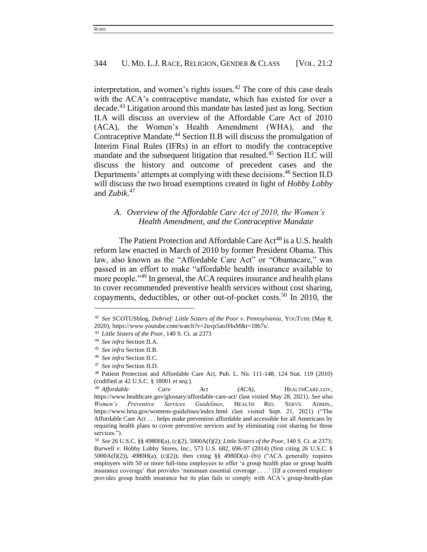interpretation, and women's rights issues. $42$  The core of this case deals with the ACA's contraceptive mandate, which has existed for over a decade.<sup>43</sup> Litigation around this mandate has lasted just as long. Section II.A will discuss an overview of the Affordable Care Act of 2010 (ACA), the Women's Health Amendment (WHA), and the Contraceptive Mandate.<sup>44</sup> Section II.B will discuss the promulgation of Interim Final Rules (IFRs) in an effort to modify the contraceptive mandate and the subsequent litigation that resulted. <sup>45</sup> Section II.C will discuss the history and outcome of precedent cases and the Departments' attempts at complying with these decisions.<sup>46</sup> Section II.D will discuss the two broad exemptions created in light of *Hobby Lobby*  and *Zubik*. 47

# *A. Overview of the Affordable Care Act of 2010, the Women's Health Amendment, and the Contraceptive Mandate*

The Patient Protection and Affordable Care Act<sup>48</sup> is a U.S. health reform law enacted in March of 2010 by former President Obama. This law, also known as the "Affordable Care Act" or "Obamacare," was passed in an effort to make "affordable health insurance available to more people."<sup>49</sup> In general, the ACA requires insurance and health plans to cover recommended preventive health services without cost sharing, copayments, deductibles, or other out-of-pocket costs.<sup>50</sup> In 2010, the

<sup>42</sup> *See* SCOTUSblog, *Debrief: Little Sisters of the Poor v. Pennsylvania*, YOUTUBE (May 8, 2020), https://www.youtube.com/watch?v=2uvp5aoJHuM&t=1867s/.

<sup>43</sup> *Little Sisters of the Poor*, 140 S. Ct. at 2373

<sup>44</sup> *See infra* Section II.A.

<sup>45</sup> *See infra* Section II.B.

<sup>46</sup> *See infra* Section II.C.

<sup>47</sup> *See infra* Section II.D.

<sup>48</sup> Patient Protection and Affordable Care Act, Pub. L. No. 111-148, 124 Stat. 119 (2010) (codified at 42 U.S.C. § 18001 *et seq.*).

<sup>49</sup> *Affordable Care Act (ACA)*, HEALTHCARE.GOV, https://www.healthcare.gov/glossary/affordable-care-act/ (last visited May 28, 2021). *See also Women's Preventive Services Guidelines*, HEALTH RES. SERVS. ADMIN., https://www.hrsa.gov/womens-guidelines/index.html (last visited Sept. 21, 2021) ("The Affordable Care Act . . . helps make prevention affordable and accessible for all Americans by requiring health plans to cover preventive services and by eliminating cost sharing for those services.").

<sup>50</sup> *See* 26 U.S.C. §§ 4980H(a), (c)(2), 5000A(f)(2); *Little Sisters of the Poor*, 140 S. Ct. at 2373; Burwell v. Hobby Lobby Stores, Inc., 573 U.S. 682, 696-97 (2014) (first citing 26 U.S.C. § 5000A(f)(2)), 4980H(a), (c)(2)); then citing §§ 4980D(a)–(b)) ("ACA generally requires employers with 50 or more full-time employees to offer 'a group health plan or group health insurance coverage' that provides 'minimum essential coverage . . . .' [I]f a covered employer provides group health insurance but its plan fails to comply with ACA's group-health-plan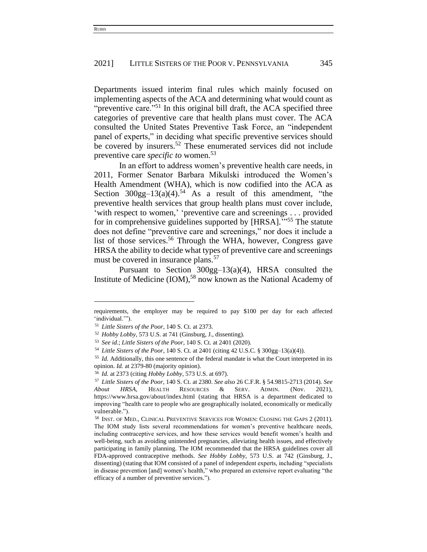Departments issued interim final rules which mainly focused on implementing aspects of the ACA and determining what would count as "preventive care."<sup>51</sup> In this original bill draft, the ACA specified three categories of preventive care that health plans must cover. The ACA consulted the United States Preventive Task Force, an "independent panel of experts," in deciding what specific preventive services should be covered by insurers.<sup>52</sup> These enumerated services did not include preventive care *specific to* women.<sup>53</sup>

In an effort to address women's preventive health care needs, in 2011, Former Senator Barbara Mikulski introduced the Women's Health Amendment (WHA), which is now codified into the ACA as Section  $300gg-13(a)(4).54$  As a result of this amendment, "the preventive health services that group health plans must cover include, 'with respect to women,' 'preventive care and screenings . . . provided for in comprehensive guidelines supported by [HRSA]."<sup>55</sup> The statute does not define "preventive care and screenings," nor does it include a list of those services.<sup>56</sup> Through the WHA, however, Congress gave HRSA the ability to decide what types of preventive care and screenings must be covered in insurance plans.<sup>57</sup>

Pursuant to Section 300gg–13(a)(4), HRSA consulted the Institute of Medicine  $(IOM)$ ,<sup>58</sup> now known as the National Academy of

requirements, the employer may be required to pay \$100 per day for each affected 'individual.'").

<sup>51</sup> *Little Sisters of the Poor*, 140 S. Ct. at 2373.

<sup>52</sup> *Hobby Lobby*, 573 U.S. at 741 (Ginsburg, J., dissenting).

<sup>53</sup> *See id.*; *Little Sisters of the Poor*, 140 S. Ct. at 2401 (2020).

<sup>54</sup> *Little Sisters of the Poor*, 140 S. Ct. at 2401 (citing 42 U.S.C. § 300gg–13(a)(4)).

<sup>55</sup> *Id.* Additionally, this one sentence of the federal mandate is what the Court interpreted in its opinion. *Id.* at 2379-80 (majority opinion).

<sup>56</sup> *Id.* at 2373 (citing *Hobby Lobby*, 573 U.S. at 697).

<sup>57</sup> *Little Sisters of the Poor*, 140 S. Ct. at 2380. *See also* 26 C.F.R. § 54.9815-2713 (2014). *See About HRSA,* HEALTH RESOURCES & SERV. ADMIN. (Nov. 2021), https://www.hrsa.gov/about/index.html (stating that HRSA is a department dedicated to improving "health care to people who are geographically isolated, economically or medically vulnerable.").

<sup>58</sup> INST. OF MED., CLINICAL PREVENTIVE SERVICES FOR WOMEN: CLOSING THE GAPS 2 (2011). The IOM study lists several recommendations for women's preventive healthcare needs, including contraceptive services, and how these services would benefit women's health and well-being, such as avoiding unintended pregnancies, alleviating health issues, and effectively participating in family planning. The IOM recommended that the HRSA guidelines cover all FDA-approved contraceptive methods. *See Hobby Lobby*, 573 U.S. at 742 (Ginsburg, J., dissenting) (stating that IOM consisted of a panel of independent experts, including "specialists in disease prevention [and] women's health," who prepared an extensive report evaluating "the efficacy of a number of preventive services.").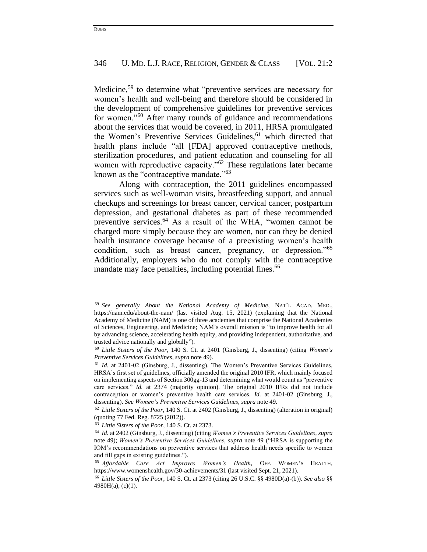Medicine,<sup>59</sup> to determine what "preventive services are necessary for women's health and well-being and therefore should be considered in the development of comprehensive guidelines for preventive services for women."<sup>60</sup> After many rounds of guidance and recommendations about the services that would be covered, in 2011, HRSA promulgated the Women's Preventive Services Guidelines,<sup>61</sup> which directed that health plans include "all [FDA] approved contraceptive methods, sterilization procedures, and patient education and counseling for all women with reproductive capacity."<sup>62</sup> These regulations later became known as the "contraceptive mandate."<sup>63</sup>

Along with contraception, the 2011 guidelines encompassed services such as well-woman visits, breastfeeding support, and annual checkups and screenings for breast cancer, cervical cancer, postpartum depression, and gestational diabetes as part of these recommended preventive services.<sup>64</sup> As a result of the WHA, "women cannot be charged more simply because they are women, nor can they be denied health insurance coverage because of a preexisting women's health condition, such as breast cancer, pregnancy, or depression."<sup>65</sup> Additionally, employers who do not comply with the contraceptive mandate may face penalties, including potential fines.<sup>66</sup>

<sup>59</sup> *See generally About the National Academy of Medicine*, NAT'L ACAD. MED., <https://nam.edu/about-the-nam/> (last visited Aug. 15, 2021) (explaining that the National Academy of Medicine (NAM) is one of three academies that comprise the National Academies of Sciences, Engineering, and Medicine; NAM's overall mission is "to improve health for all by advancing science, accelerating health equity, and providing independent, authoritative, and trusted advice nationally and globally").

<sup>60</sup> *Little Sisters of the Poor*, 140 S. Ct. at 2401 (Ginsburg, J., dissenting) (citing *Women's Preventive Services Guidelines*, *supra* note 49).

<sup>61</sup> *Id.* at 2401-02 (Ginsburg, J., dissenting). The Women's Preventive Services Guidelines, HRSA's first set of guidelines, officially amended the original 2010 IFR, which mainly focused on implementing aspects of Section 300gg-13 and determining what would count as "preventive care services." *Id.* at 2374 (majority opinion). The original 2010 IFRs did not include contraception or women's preventive health care services. *Id.* at 2401-02 (Ginsburg, J., dissenting). *See Women's Preventive Services Guidelines*, *supra* note 49.

<sup>62</sup> *Little Sisters of the Poor*, 140 S. Ct. at 2402 (Ginsburg, J., dissenting) (alteration in original) (quoting 77 Fed. Reg. 8725 (2012)).

<sup>63</sup> *Little Sisters of the Poor*, 140 S. Ct. at 2373.

<sup>64</sup> *Id.* at 2402 (Ginsburg, J., dissenting) (citing *Women's Preventive Services Guidelines*, *supra*  note 49); *Women's Preventive Services Guidelines*, *supra* note 49 ("HRSA is supporting the IOM's recommendations on preventive services that address health needs specific to women and fill gaps in existing guidelines.").

<sup>65</sup> *Affordable Care Act Improves Women's Health*, OFF. WOMEN'S HEALTH, https://www.womenshealth.gov/30-achievements/31 (last visited Sept. 21, 2021).

<sup>66</sup> *Little Sisters of the Poor*, 140 S. Ct. at 2373 (citing 26 U.S.C. §§ 4980D(a)-(b)). *See also* §§ 4980H(a), (c)(1).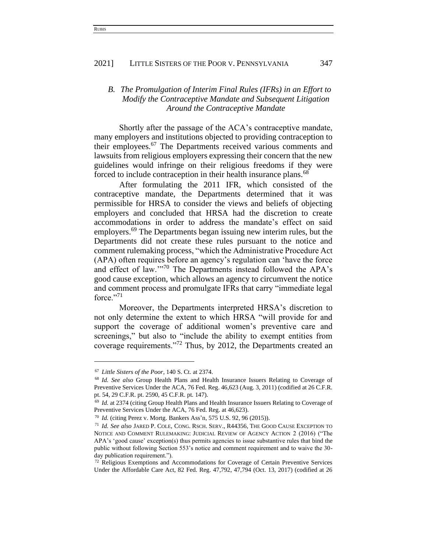# *B. The Promulgation of Interim Final Rules (IFRs) in an Effort to Modify the Contraceptive Mandate and Subsequent Litigation Around the Contraceptive Mandate*

Shortly after the passage of the ACA's contraceptive mandate, many employers and institutions objected to providing contraception to their employees.<sup>67</sup> The Departments received various comments and lawsuits from religious employers expressing their concern that the new guidelines would infringe on their religious freedoms if they were forced to include contraception in their health insurance plans.<sup>68</sup>

After formulating the 2011 IFR, which consisted of the contraceptive mandate, the Departments determined that it was permissible for HRSA to consider the views and beliefs of objecting employers and concluded that HRSA had the discretion to create accommodations in order to address the mandate's effect on said employers.<sup>69</sup> The Departments began issuing new interim rules, but the Departments did not create these rules pursuant to the notice and comment rulemaking process, "which the Administrative Procedure Act (APA) often requires before an agency's regulation can 'have the force and effect of law.'"<sup>70</sup> The Departments instead followed the APA's good cause exception, which allows an agency to circumvent the notice and comment process and promulgate IFRs that carry "immediate legal force."<sup>71</sup>

Moreover, the Departments interpreted HRSA's discretion to not only determine the extent to which HRSA "will provide for and support the coverage of additional women's preventive care and screenings," but also to "include the ability to exempt entities from coverage requirements."<sup>72</sup> Thus, by 2012, the Departments created an

<sup>67</sup> *Little Sisters of the Poor*, 140 S. Ct. at 2374.

<sup>68</sup> *Id. See also* Group Health Plans and Health Insurance Issuers Relating to Coverage of Preventive Services Under the ACA, 76 Fed. Reg. 46,623 (Aug. 3, 2011) (codified at 26 C.F.R. pt. 54, 29 C.F.R. pt. 2590, 45 C.F.R. pt. 147).

<sup>69</sup> *Id.* at 2374 (citing Group Health Plans and Health Insurance Issuers Relating to Coverage of Preventive Services Under the ACA, 76 Fed. Reg. at 46,623).

<sup>70</sup> *Id.* (citing Perez v. Mortg. Bankers Ass'n, 575 U.S. 92, 96 (2015)).

<sup>71</sup> *Id. See also* JARED P. COLE, CONG. RSCH. SERV., R44356, THE GOOD CAUSE EXCEPTION TO NOTICE AND COMMENT RULEMAKING: JUDICIAL REVIEW OF AGENCY ACTION 2 (2016) ("The APA's 'good cause' exception(s) thus permits agencies to issue substantive rules that bind the public without following Section 553's notice and comment requirement and to waive the 30 day publication requirement.").

<sup>72</sup> Religious Exemptions and Accommodations for Coverage of Certain Preventive Services Under the Affordable Care Act, 82 Fed. Reg. 47,792, 47,794 (Oct. 13, 2017) (codified at 26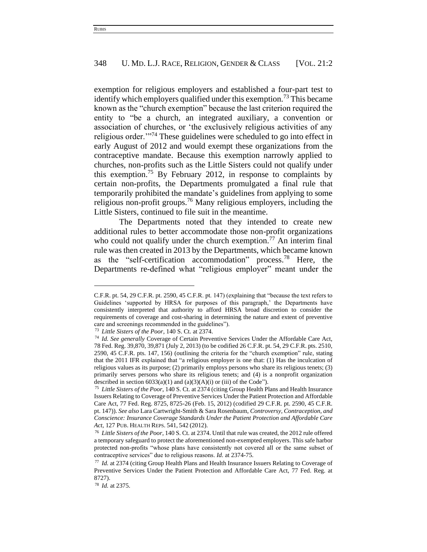exemption for religious employers and established a four-part test to identify which employers qualified under this exemption.<sup>73</sup> This became known as the "church exemption" because the last criterion required the entity to "be a church, an integrated auxiliary, a convention or association of churches, or 'the exclusively religious activities of any religious order."<sup>74</sup> These guidelines were scheduled to go into effect in early August of 2012 and would exempt these organizations from the contraceptive mandate. Because this exemption narrowly applied to churches, non-profits such as the Little Sisters could not qualify under this exemption.<sup>75</sup> By February 2012, in response to complaints by certain non-profits, the Departments promulgated a final rule that temporarily prohibited the mandate's guidelines from applying to some religious non-profit groups.<sup>76</sup> Many religious employers, including the Little Sisters, continued to file suit in the meantime.

The Departments noted that they intended to create new additional rules to better accommodate those non-profit organizations who could not qualify under the church exemption.<sup>77</sup> An interim final rule was then created in 2013 by the Departments, which became known as the "self-certification accommodation" process.<sup>78</sup> Here, the Departments re-defined what "religious employer" meant under the

C.F.R. pt. 54, 29 C.F.R. pt. 2590, 45 C.F.R. pt. 147) (explaining that "because the text refers to Guidelines 'supported by HRSA for purposes of this paragraph,' the Departments have consistently interpreted that authority to afford HRSA broad discretion to consider the requirements of coverage and cost-sharing in determining the nature and extent of preventive care and screenings recommended in the guidelines").

<sup>73</sup> *Little Sisters of the Poor*, 140 S. Ct. at 2374.

<sup>74</sup> *Id. See generally* Coverage of Certain Preventive Services Under the Affordable Care Act, 78 Fed. Reg. 39,870, 39,871 (July 2, 2013) (to be codified 26 C.F.R. pt. 54, 29 C.F.R. pts. 2510, 2590, 45 C.F.R. pts. 147, 156) (outlining the criteria for the "church exemption" rule, stating that the 2011 IFR explained that "a religious employer is one that: (1) Has the inculcation of religious values as its purpose; (2) primarily employs persons who share its religious tenets; (3) primarily serves persons who share its religious tenets; and (4) is a nonprofit organization described in section  $6033(a)(1)$  and  $(a)(3)(A)(i)$  or (iii) of the Code").

<sup>75</sup> *Little Sisters of the Poor*, 140 S. Ct. at 2374 (citing Group Health Plans and Health Insurance Issuers Relating to Coverage of Preventive Services Under the Patient Protection and Affordable Care Act, 77 Fed. Reg. 8725, 8725-26 (Feb. 15, 2012) (codified 29 C.F.R. pt. 2590, 45 C.F.R. pt. 147)). *See also* Lara Cartwright-Smith & Sara Rosenbaum, *Controversy, Contraception, and Conscience: Insurance Coverage Standards Under the Patient Protection and Affordable Care Act*, 127 PUB. HEALTH REPS. 541, 542 (2012).

<sup>76</sup> *Little Sisters of the Poor*, 140 S. Ct. at 2374. Until that rule was created, the 2012 rule offered a temporary safeguard to protect the aforementioned non-exempted employers. This safe harbor protected non-profits "whose plans have consistently not covered all or the same subset of contraceptive services" due to religious reasons. *Id.* at 2374-75.

<sup>77</sup> *Id.* at 2374 (citing Group Health Plans and Health Insurance Issuers Relating to Coverage of Preventive Services Under the Patient Protection and Affordable Care Act, 77 Fed. Reg. at 8727).

<sup>78</sup> *Id.* at 2375.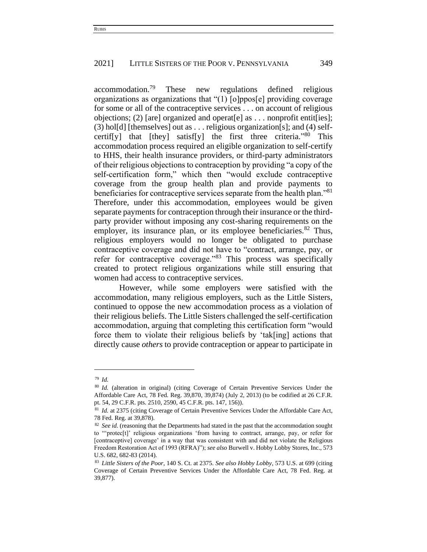accommodation.<sup>79</sup> These new regulations defined religious organizations as organizations that "(1) [o]ppos[e] providing coverage for some or all of the contraceptive services . . . on account of religious objections; (2) [are] organized and operat[e] as . . . nonprofit entit[ies]; (3) hol[d] [themselves] out as ... religious organization[s]; and (4) selfcertif[y] that [they] satisf[y] the first three criteria."<sup>80</sup> This accommodation process required an eligible organization to self-certify to HHS, their health insurance providers, or third-party administrators of their religious objections to contraception by providing "a copy of the self-certification form," which then "would exclude contraceptive coverage from the group health plan and provide payments to beneficiaries for contraceptive services separate from the health plan."<sup>81</sup> Therefore, under this accommodation, employees would be given separate payments for contraception through their insurance or the thirdparty provider without imposing any cost-sharing requirements on the employer, its insurance plan, or its employee beneficiaries.<sup>82</sup> Thus, religious employers would no longer be obligated to purchase contraceptive coverage and did not have to "contract, arrange, pay, or refer for contraceptive coverage."<sup>83</sup> This process was specifically created to protect religious organizations while still ensuring that women had access to contraceptive services.

However, while some employers were satisfied with the accommodation, many religious employers, such as the Little Sisters, continued to oppose the new accommodation process as a violation of their religious beliefs. The Little Sisters challenged the self-certification accommodation, arguing that completing this certification form "would force them to violate their religious beliefs by 'tak[ing] actions that directly cause *others* to provide contraception or appear to participate in

<sup>79</sup> *Id.* 

<sup>&</sup>lt;sup>80</sup> Id. (alteration in original) (citing Coverage of Certain Preventive Services Under the Affordable Care Act, 78 Fed. Reg. 39,870, 39,874) (July 2, 2013) (to be codified at 26 C.F.R. pt. 54, 29 C.F.R. pts. 2510, 2590, 45 C.F.R. pts. 147, 156)).

<sup>&</sup>lt;sup>81</sup> *Id.* at 2375 (citing Coverage of Certain Preventive Services Under the Affordable Care Act, 78 Fed. Reg. at 39,878).

<sup>&</sup>lt;sup>82</sup> See id. (reasoning that the Departments had stated in the past that the accommodation sought to "'protec[t]' religious organizations 'from having to contract, arrange, pay, or refer for [contraceptive] coverage' in a way that was consistent with and did not violate the Religious Freedom Restoration Act of 1993 (RFRA)"); *see also* Burwell v. Hobby Lobby Stores, Inc., 573 U.S. 682, 682-83 (2014).

<sup>83</sup> *Little Sisters of the Poor*, 140 S. Ct. at 2375. *See also Hobby Lobby*, 573 U.S. at 699 (citing Coverage of Certain Preventive Services Under the Affordable Care Act, 78 Fed. Reg. at 39,877).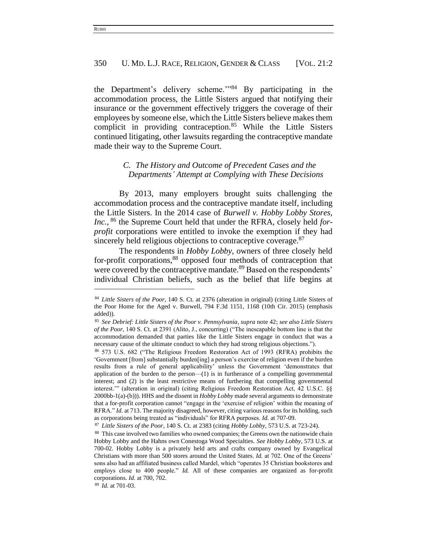the Department's delivery scheme.'"<sup>84</sup> By participating in the accommodation process, the Little Sisters argued that notifying their insurance or the government effectively triggers the coverage of their employees by someone else, which the Little Sisters believe makes them complicit in providing contraception.<sup>85</sup> While the Little Sisters continued litigating, other lawsuits regarding the contraceptive mandate made their way to the Supreme Court.

# *C. The History and Outcome of Precedent Cases and the Departments' Attempt at Complying with These Decisions*

By 2013, many employers brought suits challenging the accommodation process and the contraceptive mandate itself, including the Little Sisters. In the 2014 case of *Burwell v. Hobby Lobby Stores, Inc.*, <sup>86</sup> the Supreme Court held that under the RFRA, closely held *forprofit* corporations were entitled to invoke the exemption if they had sincerely held religious objections to contraceptive coverage.<sup>87</sup>

The respondents in *Hobby Lobby*, owners of three closely held for-profit corporations,<sup>88</sup> opposed four methods of contraception that were covered by the contraceptive mandate.<sup>89</sup> Based on the respondents' individual Christian beliefs, such as the belief that life begins at

<sup>89</sup> *Id.* at 701-03.

<sup>84</sup> *Little Sisters of the Poor*, 140 S. Ct. at 2376 (alteration in original) (citing Little Sisters of the Poor Home for the Aged v. Burwell, 794 F.3d 1151, 1168 (10th Cir. 2015) (emphasis added)).

<sup>85</sup> *See Debrief: Little Sisters of the Poor v. Pennsylvania*, *supra* note 42; *see also Little Sisters of the Poor*, 140 S. Ct. at 2391 (Alito, J., concurring) ("The inescapable bottom line is that the accommodation demanded that parties like the Little Sisters engage in conduct that was a necessary cause of the ultimate conduct to which they had strong religious objections.").

<sup>86</sup> 573 U.S. 682 ("The Religious Freedom Restoration Act of 1993 (RFRA) prohibits the 'Government [from] substantially burden[ing] a person's exercise of religion even if the burden results from a rule of general applicability' unless the Government 'demonstrates that application of the burden to the person— $(1)$  is in furtherance of a compelling governmental interest; and (2) is the least restrictive means of furthering that compelling governmental interest.'" (alteration in original) (citing Religious Freedom Restoration Act, 42 U.S.C. §§ 2000bb-1(a)-(b))). HHS and the dissent in *Hobby Lobby* made several arguments to demonstrate that a for-profit corporation cannot "engage in the 'exercise of religion' within the meaning of RFRA." *Id.* at 713. The majority disagreed, however, citing various reasons for its holding, such as corporations being treated as "individuals" for RFRA purposes. *Id.* at 707-09.

<sup>87</sup> *Little Sisters of the Poor*, 140 S. Ct. at 2383 (citing *Hobby Lobby*, 573 U.S. at 723-24).

<sup>&</sup>lt;sup>88</sup> This case involved two families who owned companies; the Greens own the nationwide chain Hobby Lobby and the Hahns own Conestoga Wood Specialties. *See Hobby Lobby*, 573 U.S. at 700-02. Hobby Lobby is a privately held arts and crafts company owned by Evangelical Christians with more than 500 stores around the United States. *Id.* at 702. One of the Greens' sons also had an affiliated business called Mardel, which "operates 35 Christian bookstores and employs close to 400 people." *Id.* All of these companies are organized as for-profit corporations. *Id.* at 700, 702.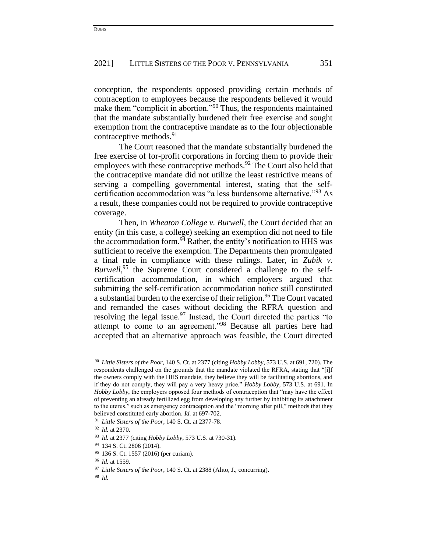conception, the respondents opposed providing certain methods of contraception to employees because the respondents believed it would make them "complicit in abortion."<sup>90</sup> Thus, the respondents maintained that the mandate substantially burdened their free exercise and sought exemption from the contraceptive mandate as to the four objectionable contraceptive methods.<sup>91</sup>

The Court reasoned that the mandate substantially burdened the free exercise of for-profit corporations in forcing them to provide their employees with these contraceptive methods.<sup>92</sup> The Court also held that the contraceptive mandate did not utilize the least restrictive means of serving a compelling governmental interest, stating that the selfcertification accommodation was "a less burdensome alternative."<sup>93</sup> As a result, these companies could not be required to provide contraceptive coverage.

Then, in *Wheaton College v. Burwell*, the Court decided that an entity (in this case, a college) seeking an exemption did not need to file the accommodation form. $94$  Rather, the entity's notification to HHS was sufficient to receive the exemption. The Departments then promulgated a final rule in compliance with these rulings. Later, in *Zubik v.*  Burwell,<sup>95</sup> the Supreme Court considered a challenge to the selfcertification accommodation, in which employers argued that submitting the self-certification accommodation notice still constituted a substantial burden to the exercise of their religion.<sup>96</sup> The Court vacated and remanded the cases without deciding the RFRA question and resolving the legal issue.  $97$  Instead, the Court directed the parties "to attempt to come to an agreement."<sup>98</sup> Because all parties here had accepted that an alternative approach was feasible, the Court directed

<sup>90</sup> *Little Sisters of the Poor*, 140 S. Ct. at 2377 (citing *Hobby Lobby*, 573 U.S. at 691, 720). The respondents challenged on the grounds that the mandate violated the RFRA, stating that "[i]f the owners comply with the HHS mandate, they believe they will be facilitating abortions, and if they do not comply, they will pay a very heavy price." *Hobby Lobby*, 573 U.S. at 691. In *Hobby Lobby*, the employers opposed four methods of contraception that "may have the effect of preventing an already fertilized egg from developing any further by inhibiting its attachment to the uterus," such as emergency contraception and the "morning after pill," methods that they believed constituted early abortion. *Id.* at 697-702.

<sup>91</sup> *Little Sisters of the Poor*, 140 S. Ct. at 2377-78.

<sup>92</sup> *Id.* at 2370.

<sup>93</sup> *Id.* at 2377 (citing *Hobby Lobby*, 573 U.S. at 730-31).

<sup>94</sup> 134 S. Ct. 2806 (2014).

<sup>95</sup> 136 S. Ct. 1557 (2016) (per curiam).

<sup>96</sup> *Id.* at 1559.

<sup>97</sup> *Little Sisters of the Poor*, 140 S. Ct. at 2388 (Alito, J., concurring).

<sup>98</sup> *Id.*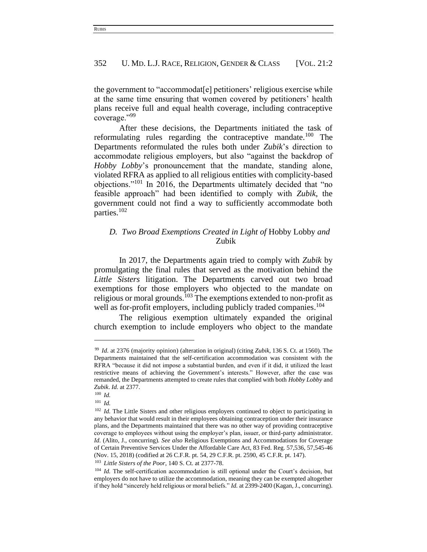the government to "accommodat[e] petitioners' religious exercise while at the same time ensuring that women covered by petitioners' health plans receive full and equal health coverage, including contraceptive coverage."<sup>99</sup>

After these decisions, the Departments initiated the task of reformulating rules regarding the contraceptive mandate.<sup>100</sup> The Departments reformulated the rules both under *Zubik*'s direction to accommodate religious employers, but also "against the backdrop of *Hobby Lobby*'s pronouncement that the mandate, standing alone, violated RFRA as applied to all religious entities with complicity-based objections."<sup>101</sup> In 2016, the Departments ultimately decided that "no feasible approach" had been identified to comply with *Zubik*, the government could not find a way to sufficiently accommodate both parties.<sup>102</sup>

# *D. Two Broad Exemptions Created in Light of* Hobby Lobby *and*  Zubik

In 2017, the Departments again tried to comply with *Zubik* by promulgating the final rules that served as the motivation behind the *Little Sisters* litigation. The Departments carved out two broad exemptions for those employers who objected to the mandate on religious or moral grounds.<sup>103</sup> The exemptions extended to non-profit as well as for-profit employers, including publicly traded companies.<sup>104</sup>

The religious exemption ultimately expanded the original church exemption to include employers who object to the mandate

<sup>99</sup> *Id.* at 2376 (majority opinion) (alteration in original) (citing *Zubik*, 136 S. Ct. at 1560). The Departments maintained that the self-certification accommodation was consistent with the RFRA "because it did not impose a substantial burden, and even if it did, it utilized the least restrictive means of achieving the Government's interests." However, after the case was remanded, the Departments attempted to create rules that complied with both *Hobby Lobby* and *Zubik*. *Id.* at 2377.

<sup>100</sup> *Id.*

<sup>101</sup> *Id.*

<sup>&</sup>lt;sup>102</sup> *Id.* The Little Sisters and other religious employers continued to object to participating in any behavior that would result in their employees obtaining contraception under their insurance plans, and the Departments maintained that there was no other way of providing contraceptive coverage to employees without using the employer's plan, issuer, or third-party administrator. *Id.* (Alito, J., concurring)*. See also* Religious Exemptions and Accommodations for Coverage of Certain Preventive Services Under the Affordable Care Act, 83 Fed. Reg. 57,536, 57,545-46 (Nov. 15, 2018) (codified at 26 C.F.R. pt. 54, 29 C.F.R. pt. 2590, 45 C.F.R. pt. 147).

<sup>103</sup> *Little Sisters of the Poor*, 140 S. Ct. at 2377-78.

<sup>&</sup>lt;sup>104</sup> *Id.* The self-certification accommodation is still optional under the Court's decision, but employers do not have to utilize the accommodation, meaning they can be exempted altogether if they hold "sincerely held religious or moral beliefs." *Id.* at 2399-2400 (Kagan, J., concurring).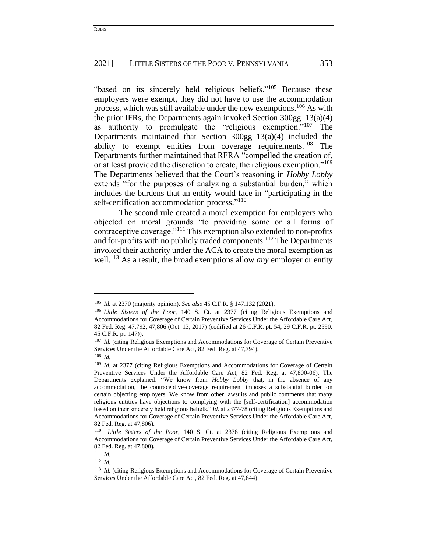"based on its sincerely held religious beliefs."<sup>105</sup> Because these employers were exempt, they did not have to use the accommodation process, which was still available under the new exemptions.<sup>106</sup> As with the prior IFRs, the Departments again invoked Section 300gg–13(a)(4) as authority to promulgate the "religious exemption."<sup>107</sup> The Departments maintained that Section 300gg–13(a)(4) included the ability to exempt entities from coverage requirements.<sup>108</sup> The Departments further maintained that RFRA "compelled the creation of, or at least provided the discretion to create, the religious exemption."<sup>109</sup> The Departments believed that the Court's reasoning in *Hobby Lobby*  extends "for the purposes of analyzing a substantial burden," which includes the burdens that an entity would face in "participating in the self-certification accommodation process."<sup>110</sup>

The second rule created a moral exemption for employers who objected on moral grounds "to providing some or all forms of contraceptive coverage."<sup>111</sup> This exemption also extended to non-profits and for-profits with no publicly traded components. <sup>112</sup> The Departments invoked their authority under the ACA to create the moral exemption as well.<sup>113</sup> As a result, the broad exemptions allow *any* employer or entity

<sup>105</sup> *Id.* at 2370 (majority opinion). *See also* 45 C.F.R. § 147.132 (2021).

<sup>106</sup> *Little Sisters of the Poor*, 140 S. Ct. at 2377 (citing Religious Exemptions and Accommodations for Coverage of Certain Preventive Services Under the Affordable Care Act, 82 Fed. Reg. 47,792, 47,806 (Oct. 13, 2017) (codified at 26 C.F.R. pt. 54, 29 C.F.R. pt. 2590, 45 C.F.R. pt. 147)).

<sup>&</sup>lt;sup>107</sup> *Id.* (citing Religious Exemptions and Accommodations for Coverage of Certain Preventive Services Under the Affordable Care Act, 82 Fed. Reg. at 47,794).

<sup>108</sup> *Id.*

<sup>&</sup>lt;sup>109</sup> *Id.* at 2377 (citing Religious Exemptions and Accommodations for Coverage of Certain Preventive Services Under the Affordable Care Act, 82 Fed. Reg. at 47,800-06). The Departments explained: "We know from *Hobby Lobby* that, in the absence of any accommodation, the contraceptive-coverage requirement imposes a substantial burden on certain objecting employers. We know from other lawsuits and public comments that many religious entities have objections to complying with the [self-certification] accommodation based on their sincerely held religious beliefs." *Id.* at 2377-78 (citing Religious Exemptions and Accommodations for Coverage of Certain Preventive Services Under the Affordable Care Act, 82 Fed. Reg. at 47,806).

<sup>110</sup> *Little Sisters of the Poor*, 140 S. Ct. at 2378 (citing Religious Exemptions and Accommodations for Coverage of Certain Preventive Services Under the Affordable Care Act, 82 Fed. Reg. at 47,800).

<sup>111</sup> *Id.*

<sup>112</sup> *Id.*

<sup>&</sup>lt;sup>113</sup> *Id.* (citing Religious Exemptions and Accommodations for Coverage of Certain Preventive Services Under the Affordable Care Act, 82 Fed. Reg. at 47,844).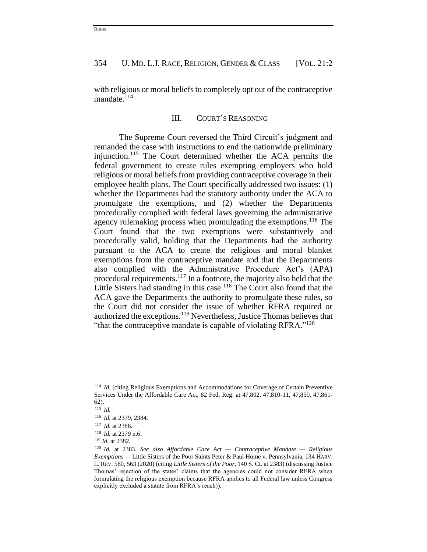with religious or moral beliefs to completely opt out of the contraceptive mandate.<sup>114</sup>

#### III. COURT'S REASONING

The Supreme Court reversed the Third Circuit's judgment and remanded the case with instructions to end the nationwide preliminary injunction.<sup>115</sup> The Court determined whether the ACA permits the federal government to create rules exempting employers who hold religious or moral beliefs from providing contraceptive coverage in their employee health plans. The Court specifically addressed two issues: (1) whether the Departments had the statutory authority under the ACA to promulgate the exemptions, and (2) whether the Departments procedurally complied with federal laws governing the administrative agency rulemaking process when promulgating the exemptions.<sup>116</sup> The Court found that the two exemptions were substantively and procedurally valid, holding that the Departments had the authority pursuant to the ACA to create the religious and moral blanket exemptions from the contraceptive mandate and that the Departments also complied with the Administrative Procedure Act's (APA) procedural requirements.<sup>117</sup> In a footnote, the majority also held that the Little Sisters had standing in this case.<sup>118</sup> The Court also found that the ACA gave the Departments the authority to promulgate these rules, so the Court did not consider the issue of whether RFRA required or authorized the exceptions.<sup>119</sup> Nevertheless, Justice Thomas believes that "that the contraceptive mandate is capable of violating RFRA."<sup>120</sup>

<sup>114</sup> *Id.* (citing Religious Exemptions and Accommodations for Coverage of Certain Preventive Services Under the Affordable Care Act, 82 Fed. Reg. at 47,802, 47,810-11, 47,850, 47,861- 62).

<sup>115</sup> *Id.*

<sup>116</sup> *Id.* at 2379, 2384.

<sup>117</sup> *Id.* at 2386.

<sup>118</sup> *Id.* at 2379 n.6.

<sup>119</sup> *Id.* at 2382.

<sup>120</sup> *Id.* at 2383. *See also Affordable Care Act — Contraceptive Mandate — Religious Exemptions —* Little Sisters of the Poor Saints Peter & Paul Home v. Pennsylvania, 134 HARV. L. REV. 560, 563 (2020) (citing *Little Sisters of the Poor*, 140 S. Ct. at 2383) (discussing Justice Thomas' rejection of the states' claims that the agencies could not consider RFRA when formulating the religious exemption because RFRA applies to all Federal law unless Congress explicitly excluded a statute from RFRA's reach)).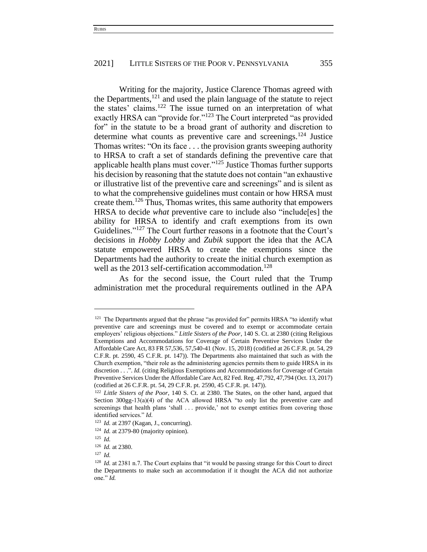Writing for the majority, Justice Clarence Thomas agreed with the Departments, <sup>121</sup> and used the plain language of the statute to reject the states' claims.<sup>122</sup> The issue turned on an interpretation of what exactly HRSA can "provide for."<sup>123</sup> The Court interpreted "as provided for" in the statute to be a broad grant of authority and discretion to determine what counts as preventive care and screenings.<sup>124</sup> Justice Thomas writes: "On its face . . . the provision grants sweeping authority to HRSA to craft a set of standards defining the preventive care that applicable health plans must cover."<sup>125</sup> Justice Thomas further supports his decision by reasoning that the statute does not contain "an exhaustive or illustrative list of the preventive care and screenings" and is silent as to what the comprehensive guidelines must contain or how HRSA must create them.<sup>126</sup> Thus, Thomas writes, this same authority that empowers HRSA to decide *what* preventive care to include also "include[es] the ability for HRSA to identify and craft exemptions from its own Guidelines." <sup>127</sup> The Court further reasons in a footnote that the Court's decisions in *Hobby Lobby* and *Zubik* support the idea that the ACA statute empowered HRSA to create the exemptions since the Departments had the authority to create the initial church exemption as well as the 2013 self-certification accommodation.<sup>128</sup>

As for the second issue, the Court ruled that the Trump administration met the procedural requirements outlined in the APA

<sup>&</sup>lt;sup>121</sup> The Departments argued that the phrase "as provided for" permits HRSA "to identify what preventive care and screenings must be covered and to exempt or accommodate certain employers' religious objections." *Little Sisters of the Poor*, 140 S. Ct. at 2380 (citing Religious Exemptions and Accommodations for Coverage of Certain Preventive Services Under the Affordable Care Act, 83 FR 57,536, 57,540-41 (Nov. 15, 2018) (codified at 26 C.F.R. pt. 54, 29 C.F.R. pt. 2590, 45 C.F.R. pt. 147)). The Departments also maintained that such as with the Church exemption, "their role as the administering agencies permits them to guide HRSA in its discretion . . .". *Id.* (citing Religious Exemptions and Accommodations for Coverage of Certain Preventive Services Under the Affordable Care Act, 82 Fed. Reg. 47,792, 47,794 (Oct. 13, 2017) (codified at 26 C.F.R. pt. 54, 29 C.F.R. pt. 2590, 45 C.F.R. pt. 147)).

<sup>122</sup> *Little Sisters of the Poor*, 140 S. Ct. at 2380. The States, on the other hand, argued that Section  $300gg-13(a)(4)$  of the ACA allowed HRSA "to only list the preventive care and screenings that health plans 'shall . . . provide,' not to exempt entities from covering those identified services." *Id.*

<sup>123</sup> *Id.* at 2397 (Kagan, J., concurring).

<sup>124</sup> *Id.* at 2379-80 (majority opinion).

<sup>125</sup> *Id.* 

<sup>126</sup> *Id.* at 2380.

<sup>127</sup> *Id.* 

<sup>&</sup>lt;sup>128</sup> *Id.* at 2381 n.7. The Court explains that "it would be passing strange for this Court to direct the Departments to make such an accommodation if it thought the ACA did not authorize one." *Id.*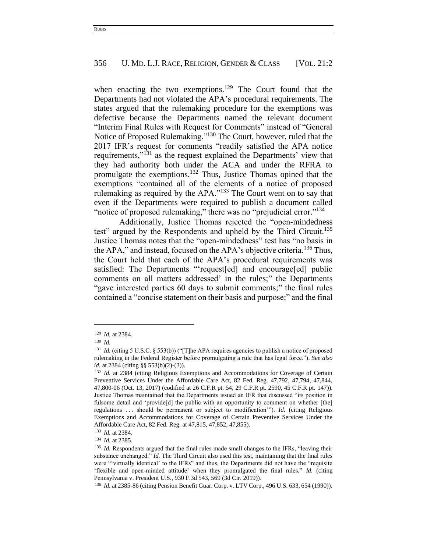when enacting the two exemptions.<sup>129</sup> The Court found that the Departments had not violated the APA's procedural requirements. The states argued that the rulemaking procedure for the exemptions was defective because the Departments named the relevant document "Interim Final Rules with Request for Comments" instead of "General Notice of Proposed Rulemaking."<sup>130</sup> The Court, however, ruled that the 2017 IFR's request for comments "readily satisfied the APA notice requirements,"<sup>131</sup> as the request explained the Departments' view that they had authority both under the ACA and under the RFRA to promulgate the exemptions.<sup>132</sup> Thus, Justice Thomas opined that the exemptions "contained all of the elements of a notice of proposed rulemaking as required by the APA."<sup>133</sup> The Court went on to say that even if the Departments were required to publish a document called "notice of proposed rulemaking," there was no "prejudicial error."<sup>134</sup>

Additionally, Justice Thomas rejected the "open-mindedness test" argued by the Respondents and upheld by the Third Circuit.<sup>135</sup> Justice Thomas notes that the "open-mindedness" test has "no basis in the APA," and instead, focused on the APA's objective criteria.<sup>136</sup> Thus, the Court held that each of the APA's procedural requirements was satisfied: The Departments "request[ed] and encourage[ed] public comments on all matters addressed' in the rules;" the Departments "gave interested parties 60 days to submit comments;" the final rules contained a "concise statement on their basis and purpose;" and the final

<sup>129</sup> *Id.* at 2384.

<sup>130</sup> *Id.* 

<sup>&</sup>lt;sup>131</sup> *Id.* (citing 5 U.S.C. § 553(b)) ("[T]he APA requires agencies to publish a notice of proposed rulemaking in the Federal Register before promulgating a rule that has legal force."). *See also id.* at 2384 (citing §§ 553(b)(2)-(3)).

<sup>132</sup> *Id.* at 2384 (citing Religious Exemptions and Accommodations for Coverage of Certain Preventive Services Under the Affordable Care Act, 82 Fed. Reg. 47,792, 47,794, 47,844, 47,800-06 (Oct. 13, 2017) (codified at 26 C.F.R pt. 54, 29 C.F.R pt. 2590, 45 C.F.R pt. 147)). Justice Thomas maintained that the Departments issued an IFR that discussed "its position in fulsome detail and 'provide[d] the public with an opportunity to comment on whether [the] regulations . . . should be permanent or subject to modification'"). *Id.* (citing Religious Exemptions and Accommodations for Coverage of Certain Preventive Services Under the Affordable Care Act, 82 Fed. Reg. at 47,815, 47,852, 47,855).

<sup>133</sup> *Id.* at 2384.

<sup>134</sup> *Id.* at 2385.

<sup>&</sup>lt;sup>135</sup> *Id.* Respondents argued that the final rules made small changes to the IFRs, "leaving their substance unchanged." *Id.* The Third Circuit also used this test, maintaining that the final rules were "'virtually identical' to the IFRs" and thus, the Departments did not have the "requisite 'flexible and open-minded attitude' when they promulgated the final rules." *Id.* (citing Pennsylvania v. President U.S., 930 F.3d 543, 569 (3d Cir. 2019)).

<sup>136</sup> *Id.* at 2385-86 (citing Pension Benefit Guar. Corp. v. LTV Corp., 496 U.S. 633, 654 (1990)).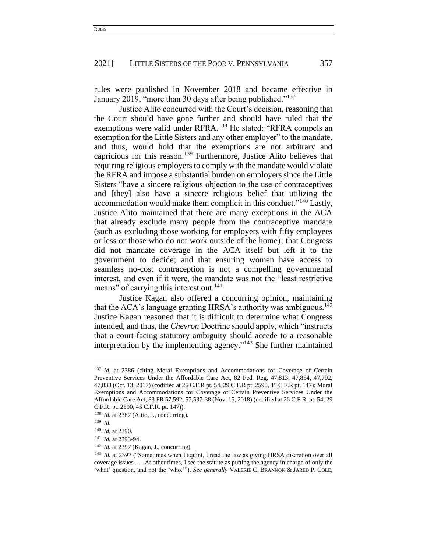rules were published in November 2018 and became effective in January 2019, "more than 30 days after being published."<sup>137</sup>

Justice Alito concurred with the Court's decision, reasoning that the Court should have gone further and should have ruled that the exemptions were valid under RFRA.<sup>138</sup> He stated: "RFRA compels an exemption for the Little Sisters and any other employer" to the mandate, and thus, would hold that the exemptions are not arbitrary and capricious for this reason.<sup>139</sup> Furthermore, Justice Alito believes that requiring religious employers to comply with the mandate would violate the RFRA and impose a substantial burden on employers since the Little Sisters "have a sincere religious objection to the use of contraceptives and [they] also have a sincere religious belief that utilizing the accommodation would make them complicit in this conduct."<sup>140</sup> Lastly, Justice Alito maintained that there are many exceptions in the ACA that already exclude many people from the contraceptive mandate (such as excluding those working for employers with fifty employees or less or those who do not work outside of the home); that Congress did not mandate coverage in the ACA itself but left it to the government to decide; and that ensuring women have access to seamless no-cost contraception is not a compelling governmental interest, and even if it were, the mandate was not the "least restrictive means" of carrying this interest out.<sup>141</sup>

Justice Kagan also offered a concurring opinion, maintaining that the ACA's language granting HRSA's authority was ambiguous.<sup>142</sup> Justice Kagan reasoned that it is difficult to determine what Congress intended, and thus, the *Chevron* Doctrine should apply, which "instructs that a court facing statutory ambiguity should accede to a reasonable interpretation by the implementing agency."<sup>143</sup> She further maintained

<sup>&</sup>lt;sup>137</sup> *Id.* at 2386 (citing Moral Exemptions and Accommodations for Coverage of Certain Preventive Services Under the Affordable Care Act, 82 Fed. Reg. 47,813, 47,854, 47,792, 47,838 (Oct. 13, 2017) (codified at 26 C.F.R pt. 54, 29 C.F.R pt. 2590, 45 C.F.R pt. 147); Moral Exemptions and Accommodations for Coverage of Certain Preventive Services Under the Affordable Care Act, 83 FR 57,592, 57,537-38 (Nov. 15, 2018) (codified at 26 C.F.R. pt. 54, 29 C.F.R. pt. 2590, 45 C.F.R. pt. 147)).

<sup>&</sup>lt;sup>138</sup> *Id.* at 2387 (Alito, J., concurring).

<sup>139</sup> *Id*.

<sup>140</sup> *Id.* at 2390.

<sup>141</sup> *Id.* at 2393-94.

<sup>142</sup> *Id.* at 2397 (Kagan, J., concurring).

<sup>&</sup>lt;sup>143</sup> *Id.* at 2397 ("Sometimes when I squint, I read the law as giving HRSA discretion over all coverage issues . . . At other times, I see the statute as putting the agency in charge of only the 'what' question, and not the 'who.'"). *See generally* VALERIE C. BRANNON & JARED P. COLE,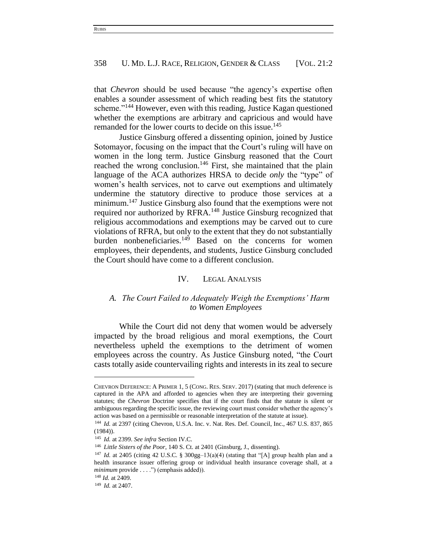that *Chevron* should be used because "the agency's expertise often enables a sounder assessment of which reading best fits the statutory scheme."<sup>144</sup> However, even with this reading, Justice Kagan questioned whether the exemptions are arbitrary and capricious and would have remanded for the lower courts to decide on this issue.<sup>145</sup>

Justice Ginsburg offered a dissenting opinion, joined by Justice Sotomayor, focusing on the impact that the Court's ruling will have on women in the long term. Justice Ginsburg reasoned that the Court reached the wrong conclusion.<sup>146</sup> First, she maintained that the plain language of the ACA authorizes HRSA to decide *only* the "type" of women's health services, not to carve out exemptions and ultimately undermine the statutory directive to produce those services at a minimum.<sup>147</sup> Justice Ginsburg also found that the exemptions were not required nor authorized by RFRA.<sup>148</sup> Justice Ginsburg recognized that religious accommodations and exemptions may be carved out to cure violations of RFRA, but only to the extent that they do not substantially burden nonbeneficiaries. $149$  Based on the concerns for women employees, their dependents, and students, Justice Ginsburg concluded the Court should have come to a different conclusion.

### IV. LEGAL ANALYSIS

# *A. The Court Failed to Adequately Weigh the Exemptions' Harm to Women Employees*

While the Court did not deny that women would be adversely impacted by the broad religious and moral exemptions, the Court nevertheless upheld the exemptions to the detriment of women employees across the country. As Justice Ginsburg noted, "the Court casts totally aside countervailing rights and interests in its zeal to secure

CHEVRON DEFERENCE: A PRIMER 1, 5 (CONG. RES. SERV. 2017) (stating that much deference is captured in the APA and afforded to agencies when they are interpreting their governing statutes; the *Chevron* Doctrine specifies that if the court finds that the statute is silent or ambiguous regarding the specific issue, the reviewing court must consider whether the agency's action was based on a permissible or reasonable interpretation of the statute at issue).

<sup>&</sup>lt;sup>144</sup> *Id.* at 2397 (citing Chevron, U.S.A. Inc. v. Nat. Res. Def. Council, Inc., 467 U.S. 837, 865 (1984)).

<sup>145</sup> *Id.* at 2399. *See infra* Section IV.C.

<sup>146</sup> *Little Sisters of the Poor*, 140 S. Ct. at 2401 (Ginsburg, J., dissenting).

<sup>&</sup>lt;sup>147</sup> *Id.* at 2405 (citing 42 U.S.C. § 300gg-13(a)(4) (stating that "[A] group health plan and a health insurance issuer offering group or individual health insurance coverage shall, at a *minimum* provide . . . .") (emphasis added)).

<sup>148</sup> *Id.* at 2409.

<sup>149</sup> *Id.* at 2407.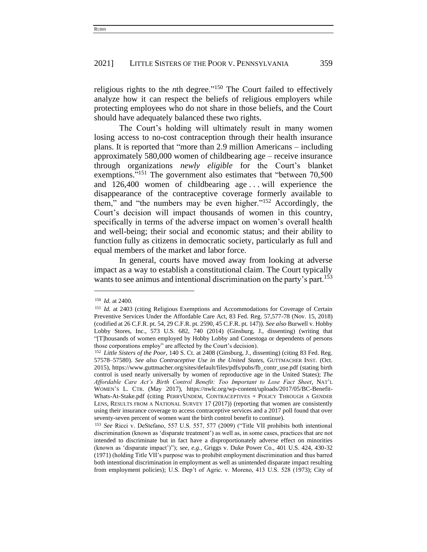religious rights to the *n*th degree."<sup>150</sup> The Court failed to effectively analyze how it can respect the beliefs of religious employers while protecting employees who do not share in those beliefs, and the Court should have adequately balanced these two rights.

The Court's holding will ultimately result in many women losing access to no-cost contraception through their health insurance plans. It is reported that "more than 2.9 million Americans – including approximately 580,000 women of childbearing age – receive insurance through organizations *newly eligible* for the Court's blanket exemptions."<sup>151</sup> The government also estimates that "between 70,500 and 126,400 women of childbearing age . . . will experience the disappearance of the contraceptive coverage formerly available to them," and "the numbers may be even higher."<sup>152</sup> Accordingly, the Court's decision will impact thousands of women in this country, specifically in terms of the adverse impact on women's overall health and well-being; their social and economic status; and their ability to function fully as citizens in democratic society, particularly as full and equal members of the market and labor force.

In general, courts have moved away from looking at adverse impact as a way to establish a constitutional claim. The Court typically wants to see animus and intentional discrimination on the party's part.<sup>153</sup>

<sup>150</sup> *Id.* at 2400.

<sup>151</sup> *Id.* at 2403 (citing Religious Exemptions and Accommodations for Coverage of Certain Preventive Services Under the Affordable Care Act, 83 Fed. Reg. 57,577-78 (Nov. 15, 2018) (codified at 26 C.F.R. pt. 54, 29 C.F.R. pt. 2590, 45 C.F.R. pt. 147)). *See also* Burwell v. Hobby Lobby Stores, Inc., 573 U.S. 682, 740 (2014) (Ginsburg, J., dissenting) (writing that "[T]housands of women employed by Hobby Lobby and Conestoga or dependents of persons those corporations employ" are affected by the Court's decision).

<sup>152</sup> *Little Sisters of the Poor*, 140 S. Ct. at 2408 (Ginsburg, J., dissenting) (citing 83 Fed. Reg. 57578–57580). *See also Contraceptive Use in the United States*, GUTTMACHER INST. (Oct. 2015), https://www.guttmacher.org/sites/default/files/pdfs/pubs/fb\_contr\_use.pdf (stating birth control is used nearly universally by women of reproductive age in the United States); *The Affordable Care Act's Birth Control Benefit: Too Important to Lose Fact Sheet*, NAT'L WOMEN'S L. CTR. (May 2017), https://nwlc.org/wp-content/uploads/2017/05/BC-Benefit-Whats-At-Stake.pdf (citing PERRYUNDEM, CONTRACEPTIVES + POLICY THROUGH A GENDER LENS, RESULTS FROM A NATIONAL SURVEY 17 (2017)) (reporting that women are consistently using their insurance coverage to access contraceptive services and a 2017 poll found that over seventy-seven percent of women want the birth control benefit to continue).

<sup>153</sup> *See* Ricci v. DeStefano, 557 U.S. 557, 577 (2009) ("Title VII prohibits both intentional discrimination (known as 'disparate treatment') as well as, in some cases, practices that are not intended to discriminate but in fact have a disproportionately adverse effect on minorities (known as 'disparate impact')"); *see, e.g.*, Griggs v. Duke Power Co., 401 U.S. 424, 430-32 (1971) (holding Title VII's purpose was to prohibit employment discrimination and thus barred both intentional discrimination in employment as well as unintended disparate impact resulting from employment policies); U.S. Dep't of Agric. v. Moreno, 413 U.S. 528 (1973); City of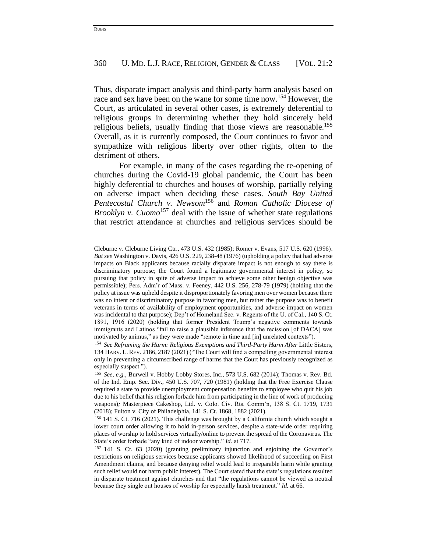Thus, disparate impact analysis and third-party harm analysis based on race and sex have been on the wane for some time now.<sup>154</sup> However, the Court, as articulated in several other cases, is extremely deferential to religious groups in determining whether they hold sincerely held religious beliefs, usually finding that those views are reasonable.<sup>155</sup> Overall, as it is currently composed, the Court continues to favor and sympathize with religious liberty over other rights, often to the detriment of others.

For example, in many of the cases regarding the re-opening of churches during the Covid-19 global pandemic, the Court has been highly deferential to churches and houses of worship, partially relying on adverse impact when deciding these cases. *South Bay United Pentecostal Church v. Newsom*<sup>156</sup> and *Roman Catholic Diocese of Brooklyn v. Cuomo*<sup>157</sup> deal with the issue of whether state regulations that restrict attendance at churches and religious services should be

Cleburne v. Cleburne Living Ctr., 473 U.S. 432 (1985); Romer v. Evans, 517 U.S. 620 (1996). *But see* Washington v. Davis, 426 U.S. 229, 238-48 (1976) (upholding a policy that had adverse impacts on Black applicants because racially disparate impact is not enough to say there is discriminatory purpose; the Court found a legitimate governmental interest in policy, so pursuing that policy in spite of adverse impact to achieve some other benign objective was permissible); Pers. Adm'r of Mass. v. Feeney, 442 U.S. 256, 278-79 (1979) (holding that the policy at issue was upheld despite it disproportionately favoring men over women because there was no intent or discriminatory purpose in favoring men, but rather the purpose was to benefit veterans in terms of availability of employment opportunities, and adverse impact on women was incidental to that purpose); Dep't of Homeland Sec. v. Regents of the U. of Cal., 140 S. Ct. 1891, 1916 (2020) (holding that former President Trump's negative comments towards immigrants and Latinos "fail to raise a plausible inference that the recission [of DACA] was motivated by animus," as they were made "remote in time and [in] unrelated contexts").

<sup>&</sup>lt;sup>154</sup> See Reframing the Harm: Religious Exemptions and Third-Party Harm After Little Sisters, 134 HARV. L. REV. 2186, 2187 (2021) ("The Court will find a compelling governmental interest only in preventing a circumscribed range of harms that the Court has previously recognized as especially suspect.").

<sup>155</sup> *See, e.g.*, Burwell v. Hobby Lobby Stores, Inc., 573 U.S. 682 (2014); Thomas v. Rev. Bd. of the Ind. Emp. Sec. Div., 450 U.S. 707, 720 (1981) (holding that the Free Exercise Clause required a state to provide unemployment compensation benefits to employee who quit his job due to his belief that his religion forbade him from participating in the line of work of producing weapons)*;* Masterpiece Cakeshop, Ltd. v. Colo. Civ. Rts. Comm'n, 138 S. Ct. 1719, 1731 (2018); Fulton v. City of Philadelphia, 141 S. Ct. 1868, 1882 (2021).

<sup>156</sup> 141 S. Ct. 716 (2021). This challenge was brought by a California church which sought a lower court order allowing it to hold in-person services, despite a state-wide order requiring places of worship to hold services virtually/online to prevent the spread of the Coronavirus. The State's order forbade "any kind of indoor worship." *Id.* at 717.

<sup>157</sup> 141 S. Ct. 63 (2020) (granting preliminary injunction and enjoining the Governor's restrictions on religious services because applicants showed likelihood of succeeding on First Amendment claims, and because denying relief would lead to irreparable harm while granting such relief would not harm public interest). The Court stated that the state's regulations resulted in disparate treatment against churches and that "the regulations cannot be viewed as neutral because they single out houses of worship for especially harsh treatment." *Id.* at 66.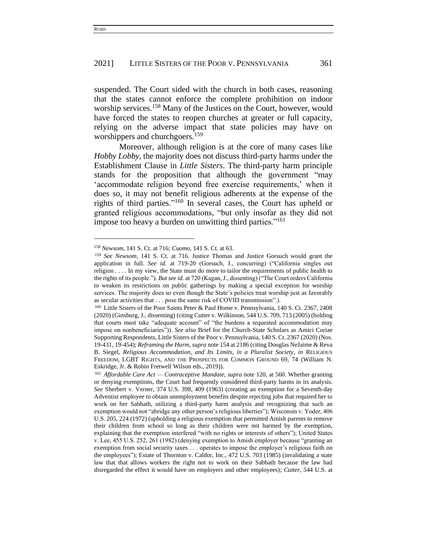suspended. The Court sided with the church in both cases, reasoning that the states cannot enforce the complete prohibition on indoor worship services.<sup>158</sup> Many of the Justices on the Court, however, would have forced the states to reopen churches at greater or full capacity, relying on the adverse impact that state policies may have on worshippers and churchgoers.<sup>159</sup>

Moreover, although religion is at the core of many cases like *Hobby Lobby*, the majority does not discuss third-party harms under the Establishment Clause in *Little Sisters*. The third-party harm principle stands for the proposition that although the government "may 'accommodate religion beyond free exercise requirements,' when it does so, it may not benefit religious adherents at the expense of the rights of third parties."<sup>160</sup> In several cases, the Court has upheld or granted religious accommodations, "but only insofar as they did not impose too heavy a burden on unwitting third parties."<sup>161</sup>

<sup>158</sup> *Newsom*, 141 S. Ct. at 716; *Cuomo*, 141 S. Ct. at 63.

<sup>159</sup> *See Newsom*, 141 S. Ct. at 716. Justice Thomas and Justice Gorsuch would grant the application in full. *See id.* at 719-20 (Gorsuch, J., concurring) ("California singles out religion . . . . In my view, the State must do more to tailor the requirements of public health to the rights of its people."). *But see id.* at 720 (Kagan, J., dissenting) ("The Court orders California to weaken its restrictions on public gatherings by making a special exception for worship services. The majority does so even though the State's policies treat worship just as favorably as secular activities that . . . pose the same risk of COVID transmission".).

<sup>&</sup>lt;sup>160</sup> Little Sisters of the Poor Saints Peter & Paul Home v. Pennsylvania, 140 S. Ct. 2367, 2408 (2020) (Ginsburg, J., dissenting) (citing Cutter v. Wilkinson, 544 U.S. 709, 713 (2005) (holding that courts must take "adequate account" of "the burdens a requested accommodation may impose on nonbeneficiaries")). *See also* Brief for the Church-State Scholars as Amici Curiae Supporting Respondents, Little Sisters of the Poor v. Pennsylvania, 140 S. Ct. 2367 (2020) (Nos. 19-431, 19-454); *Reframing the Harm*, *supra* note 154 at 2186 (citing Douglas NeJaime & Reva B. Siegel, *Religious Accommodation, and Its Limits, in a Pluralist Society*, *in* RELIGIOUS FREEDOM, LGBT RIGHTS, AND THE PROSPECTS FOR COMMON GROUND 69, 74 (William N. Eskridge, Jr. & Robin Fretwell Wilson eds., 2019)).

<sup>161</sup> *Affordable Care Act — Contraceptive Mandate*, *supra* note 120, at 560. Whether granting or denying exemptions, the Court had frequently considered third-party harms in its analysis. *See* Sherbert v. Verner, 374 U.S. 398, 409 (1963) (creating an exemption for a Seventh-day Adventist employee to obtain unemployment benefits despite rejecting jobs that required her to work on her Sabbath, utilizing a third-party harm analysis and recognizing that such an exemption would not "abridge any other person's religious liberties"); Wisconsin v. Yoder, 406 U.S. 205, 224 (1972) (upholding a religious exemption that permitted Amish parents to remove their children from school so long as their children were not harmed by the exemption, explaining that the exemption interfered "with no rights or interests of others"); United States v. Lee, 455 U.S. 252, 261 (1982) (denying exemption to Amish employer because "granting an exemption from social security taxes . . . operates to impose the employer's religious faith on the employees"); Estate of Thornton v. Caldor, Inc., 472 U.S. 703 (1985) (invalidating a state law that that allows workers the right not to work on their Sabbath because the law had disregarded the effect it would have on employers and other employees); *Cutter*, 544 U.S. at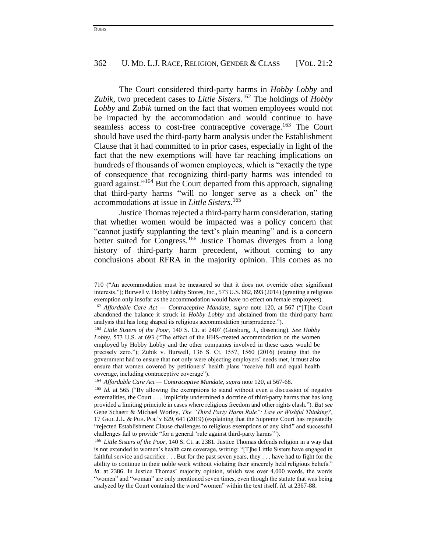The Court considered third-party harms in *Hobby Lobby* and *Zubik*, two precedent cases to *Little Sisters*. <sup>162</sup> The holdings of *Hobby Lobby* and *Zubik* turned on the fact that women employees would not be impacted by the accommodation and would continue to have seamless access to cost-free contraceptive coverage.<sup>163</sup> The Court should have used the third-party harm analysis under the Establishment Clause that it had committed to in prior cases, especially in light of the fact that the new exemptions will have far reaching implications on hundreds of thousands of women employees, which is "exactly the type of consequence that recognizing third-party harms was intended to guard against."<sup>164</sup> But the Court departed from this approach, signaling that third-party harms "will no longer serve as a check on" the accommodations at issue in *Little Sisters*. 165

Justice Thomas rejected a third-party harm consideration, stating that whether women would be impacted was a policy concern that "cannot justify supplanting the text's plain meaning" and is a concern better suited for Congress.<sup>166</sup> Justice Thomas diverges from a long history of third-party harm precedent, without coming to any conclusions about RFRA in the majority opinion. This comes as no

<sup>710 (&</sup>quot;An accommodation must be measured so that it does not override other significant interests."); Burwell v. Hobby Lobby Stores, Inc., 573 U.S. 682, 693 (2014) (granting a religious exemption only insofar as the accommodation would have no effect on female employees).

<sup>162</sup> *Affordable Care Act — Contraceptive Mandate*, *supra* note 120, at 567 ("[T]he Court abandoned the balance it struck in *Hobby Lobby* and abstained from the third-party harm analysis that has long shaped its religious accommodation jurisprudence.").

<sup>163</sup> *Little Sisters of the Poor*, 140 S. Ct. at 2407 (Ginsburg, J., dissenting). *See Hobby Lobby*, 573 U.S. at 693 ("The effect of the HHS-created accommodation on the women employed by Hobby Lobby and the other companies involved in these cases would be precisely zero."); Zubik v. Burwell, 136 S. Ct. 1557, 1560 (2016) (stating that the government had to ensure that not only were objecting employers' needs met, it must also ensure that women covered by petitioners' health plans "receive full and equal health coverage, including contraceptive coverage").

<sup>164</sup> *Affordable Care Act — Contraceptive Mandate*, *supra* note 120, at 567-68.

<sup>165</sup> *Id.* at 565 ("By allowing the exemptions to stand without even a discussion of negative externalities, the Court . . . implicitly undermined a doctrine of third-party harms that has long provided a limiting principle in cases where religious freedom and other rights clash."). *But see*  Gene Schaerr & Michael Worley, *The "Third Party Harm Rule": Law or Wishful Thinking?*, 17 GEO. J.L. & PUB. POL'Y 629, 641 (2019) (explaining that the Supreme Court has repeatedly "rejected Establishment Clause challenges to religious exemptions of any kind" and successful challenges fail to provide "for a general 'rule against third-party harms'").

<sup>166</sup> *Little Sisters of the Poor*, 140 S. Ct. at 2381. Justice Thomas defends religion in a way that is not extended to women's health care coverage, writing: "[T]he Little Sisters have engaged in faithful service and sacrifice . . . But for the past seven years, they . . . have had to fight for the ability to continue in their noble work without violating their sincerely held religious beliefs." *Id.* at 2386. In Justice Thomas' majority opinion, which was over 4,000 words, the words "women" and "woman" are only mentioned seven times, even though the statute that was being analyzed by the Court contained the word "women" within the text itself. *Id.* at 2367-88.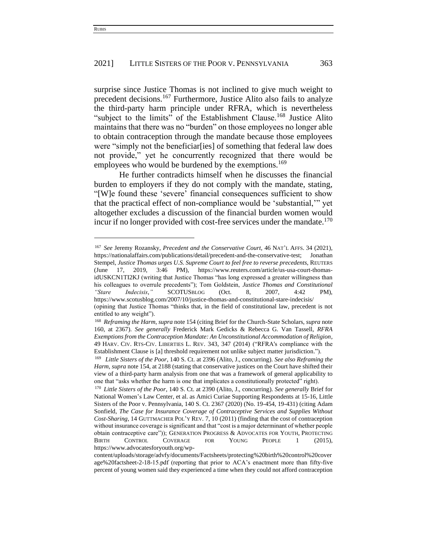surprise since Justice Thomas is not inclined to give much weight to precedent decisions.<sup>167</sup> Furthermore, Justice Alito also fails to analyze the third-party harm principle under RFRA, which is nevertheless "subject to the limits" of the Establishment Clause.<sup>168</sup> Justice Alito maintains that there was no "burden" on those employees no longer able to obtain contraception through the mandate because those employees were "simply not the beneficiar [ies] of something that federal law does not provide," yet he concurrently recognized that there would be employees who would be burdened by the exemptions.<sup>169</sup>

He further contradicts himself when he discusses the financial burden to employers if they do not comply with the mandate, stating, "[W]e found these 'severe' financial consequences sufficient to show that the practical effect of non-compliance would be 'substantial,'" yet altogether excludes a discussion of the financial burden women would incur if no longer provided with cost-free services under the mandate.<sup>170</sup>

<sup>167</sup> *See* Jeremy Rozansky, *Precedent and the Conservative Court*, 46 NAT'L AFFS. 34 (2021), https://nationalaffairs.com/publications/detail/precedent-and-the-conservative-test; Jonathan Stempel, *Justice Thomas urges U.S. Supreme Court to feel free to reverse precedents*, REUTERS (June 17, 2019, 3:46 PM), https://www.reuters.com/article/us-usa-court-thomasidUSKCN1TI2KJ (writing that Justice Thomas "has long expressed a greater willingness than his colleagues to overrule precedents"); Tom Goldstein, *Justice Thomas and Constitutional "Stare Indecisis*,*"* SCOTUSBLOG (Oct. 8, 2007, 4:42 PM), <https://www.scotusblog.com/2007/10/justice-thomas-and-constitutional-stare-indecisis/> (opining that Justice Thomas "thinks that, in the field of constitutional law, precedent is not entitled to any weight").

<sup>168</sup> *Reframing the Harm*, *supra* note 154 (citing Brief for the Church-State Scholars, *supra* note 160, at 2367). *See generally* Frederick Mark Gedicks & Rebecca G. Van Tassell, *RFRA Exemptions from the Contraception Mandate: An Unconstitutional Accommodation of Religion*, 49 HARV. CIV. RTS-CIV. LIBERTIES L. REV. 343, 347 (2014) ("RFRA's compliance with the Establishment Clause is [a] threshold requirement not unlike subject matter jurisdiction.").

<sup>169</sup> *Little Sisters of the Poor*, 140 S. Ct. at 2396 (Alito, J., concurring). *See also Reframing the Harm*, *supra* note 154, at 2188 (stating that conservative justices on the Court have shifted their view of a third-party harm analysis from one that was a framework of general applicability to one that "asks whether the harm is one that implicates a constitutionally protected" right).

<sup>170</sup> *Little Sisters of the Poor*, 140 S. Ct. at 2390 (Alito, J., concurring). *See generally* Brief for National Women's Law Center, et al. as Amici Curiae Supporting Respondents at 15-16, Little Sisters of the Poor v. Pennsylvania, 140 S. Ct. 2367 (2020) (No. 19-454, 19-431) (citing Adam Sonfield, *The Case for Insurance Coverage of Contraceptive Services and Supplies Without Cost-Sharing*, 14 GUTTMACHER POL'Y REV. 7, 10 (2011) (finding that the cost of contraception without insurance coverage is significant and that "cost is a major determinant of whether people obtain contraceptive care")); GENERATION PROGRESS & ADVOCATES FOR YOUTH, PROTECTING BIRTH CONTROL COVERAGE FOR YOUNG PEOPLE 1 (2015), https://www.advocatesforyouth.org/wp-

content/uploads/storage/advfy/documents/Factsheets/protecting%20birth%20control%20cover age%20factsheet-2-18-15.pdf (reporting that prior to ACA's enactment more than fifty-five percent of young women said they experienced a time when they could not afford contraception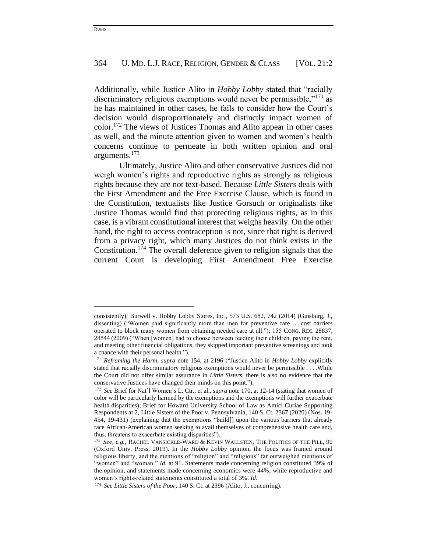Additionally, while Justice Alito in *Hobby Lobby* stated that "racially discriminatory religious exemptions would never be permissible," $^{171}$  as he has maintained in other cases, he fails to consider how the Court's decision would disproportionately and distinctly impact women of color. <sup>172</sup> The views of Justices Thomas and Alito appear in other cases as well, and the minute attention given to women and women's health concerns continue to permeate in both written opinion and oral arguments.<sup>173</sup>

Ultimately, Justice Alito and other conservative Justices did not weigh women's rights and reproductive rights as strongly as religious rights because they are not text-based. Because *Little Sisters* deals with the First Amendment and the Free Exercise Clause, which is found in the Constitution, textualists like Justice Gorsuch or originalists like Justice Thomas would find that protecting religious rights, as in this case, is a vibrant constitutional interest that weighs heavily. On the other hand, the right to access contraception is not, since that right is derived from a privacy right, which many Justices do not think exists in the Constitution.<sup>174</sup> The overall deference given to religion signals that the current Court is developing First Amendment Free Exercise

consistently); Burwell v. Hobby Lobby Stores, Inc., 573 U.S. 682, 742 (2014) (Ginsburg, J., dissenting) ("Women paid significantly more than men for preventive care . . . cost barriers operated to block many women from obtaining needed care at all."); 155 CONG. REC. 28837, 28844 (2009) ("When [women] had to choose between feeding their children, paying the rent, and meeting other financial obligations, they skipped important preventive screenings and took a chance with their personal health.").

<sup>171</sup> *Reframing the Harm*, *supra* note 154, at 2196 ("Justice Alito in *Hobby Lobby* explicitly stated that racially discriminatory religious exemptions would never be permissible . . . .While the Court did not offer similar assurance in *Little Sisters*, there is also no evidence that the conservative Justices have changed their minds on this point.").

<sup>172</sup> *See* Brief for Nat'l Women's L. Ctr., et al., *supra* note 170, at 12-14 (stating that women of color will be particularly harmed by the exemptions and the exemptions will further exacerbate health disparities); Brief for Howard University School of Law as Amici Curiae Supporting Respondents at 2, Little Sisters of the Poor v. Pennsylvania, 140 S. Ct. 2367 (2020) (Nos. 19- 454, 19-431) (explaining that the exemptions "build[] upon the various barriers that already face African-American women seeking to avail themselves of comprehensive health care and, thus, threatens to exacerbate existing disparities").

<sup>173</sup> *See, e.g.*, RACHEL VANSICKLE-WARD & KEVIN WALLSTEN, THE POLITICS OF THE PILL, 90 (Oxford Univ. Press, 2019). In the *Hobby Lobby* opinion, the focus was framed around religious liberty, and the mentions of "religion" and "religious" far outweighed mentions of "women" and "woman." *Id.* at 91. Statements made concerning religion constituted 39% of the opinion, and statements made concerning economics were 44%, while reproductive and women's rights-related statements constituted a total of 3%. *Id*.

<sup>174</sup> *See Little Sisters of the Poor*, 140 S. Ct. at 2396 (Alito, J., concurring).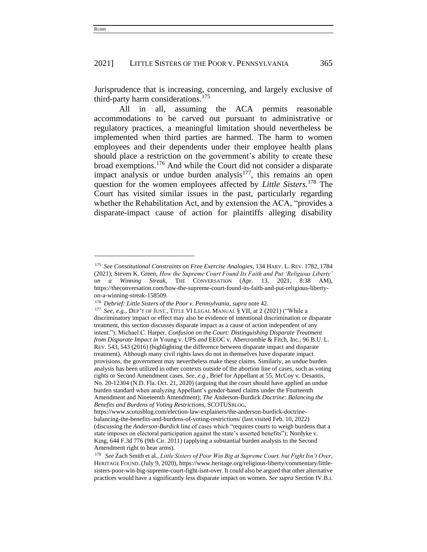Jurisprudence that is increasing, concerning, and largely exclusive of third-party harm considerations.<sup>175</sup>

All in all, assuming the ACA permits reasonable accommodations to be carved out pursuant to administrative or regulatory practices, a meaningful limitation should nevertheless be implemented when third parties are harmed. The harm to women employees and their dependents under their employee health plans should place a restriction on the government's ability to create these broad exemptions.<sup>176</sup> And while the Court did not consider a disparate impact analysis or undue burden analysis<sup>177</sup>, this remains an open question for the women employees affected by *Little Sisters.*<sup>178</sup> The Court has visited similar issues in the past, particularly regarding whether the Rehabilitation Act, and by extension the ACA, "provides a disparate-impact cause of action for plaintiffs alleging disability

<sup>175</sup> *See Constitutional Constraints on Free Exercise Analogies*, 134 HARV. L. REV. 1782, 1784 (2021); Steven K. Green, *How the Supreme Court Found Its Faith and Put 'Religious Liberty' on a Winning Streak*, THE CONVERSATION (Apr. 13, 2021, 8:38 AM), https://theconversation.com/how-the-supreme-court-found-its-faith-and-put-religious-libertyon-a-winning-streak-158509.

<sup>176</sup> *Debrief: Little Sisters of the Poor v. Pennsylvania*, *supra* note 42.

<sup>177</sup> *See, e.g.*, DEP'T OF JUST., TITLE VI LEGAL MANUAL § VII, at 2 (2021) ("While a discriminatory impact or effect may also be evidence of intentional discrimination or disparate treatment, this section discusses disparate impact as a cause of action independent of any intent."); Michael C. Harper, *Confusion on the Court: Distinguishing Disparate Treatment from Disparate Impact in* Young v. UPS *and* EEOC v. Abercrombie & Fitch, Inc., 96 B.U. L. REV. 543, 543 (2016) (highlighting the difference between disparate impact and disparate treatment). Although many civil rights laws do not in themselves have disparate impact provisions, the government may nevertheless make these claims. Similarly, an undue burden analysis has been utilized in other contexts outside of the abortion line of cases, such as voting rights or Second Amendment cases. *See, e.g.*, Brief for Appellant at 55, McCoy v. Desantis, No. 20-12304 (N.D. Fla. Oct. 21, 2020) (arguing that the court should have applied an undue burden standard when analyzing Appellant's gender-based claims under the Fourteenth Amendment and Nineteenth Amendment); *The* Anderson-Burdick *Doctrine: Balancing the Benefits and Burdens of Voting Restrictions*, SCOTUSBLOG,

https://www.scotusblog.com/election-law-explainers/the-anderson-burdick-doctrinebalancing-the-benefits-and-burdens-of-voting-restrictions/ (last visited Feb. 10, 2022) (discussing the *Anderson-Burdick* line of cases which "requires courts to weigh burdens that a state imposes on electoral participation against the state's asserted benefits"); Nordyke v. King, 644 F.3d 776 (9th Cir. 2011) (applying a substantial burden analysis to the Second Amendment right to bear arms).

<sup>178</sup> *See* Zach Smith et al., *Little Sisters of Poor Win Big at Supreme Court, but Fight Isn't Over*, HERITAGE FOUND. (July 9, 2020), [https://www.heritage.org/religious-liberty/commentary/little](https://www.heritage.org/religious-liberty/commentary/little-sisters-poor-win-big-supreme-court-fight-isnt-over)[sisters-poor-win-big-supreme-court-fight-isnt-over.](https://www.heritage.org/religious-liberty/commentary/little-sisters-poor-win-big-supreme-court-fight-isnt-over) It could also be argued that other alternative practices would have a significantly less disparate impact on women. *See supra* Section IV.B.i.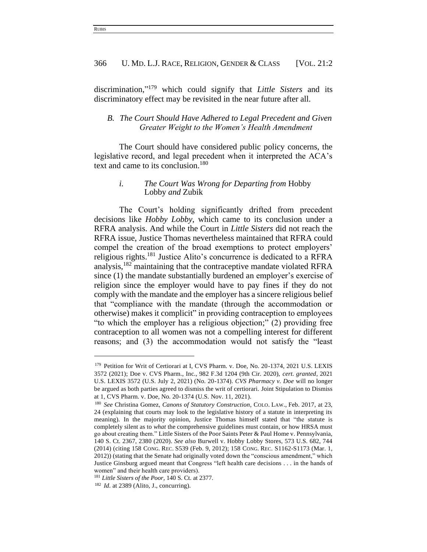discrimination," <sup>179</sup> which could signify that *Little Sisters* and its discriminatory effect may be revisited in the near future after all.

# *B. The Court Should Have Adhered to Legal Precedent and Given Greater Weight to the Women's Health Amendment*

The Court should have considered public policy concerns, the legislative record, and legal precedent when it interpreted the ACA's text and came to its conclusion.<sup>180</sup>

## *i. The Court Was Wrong for Departing from* Hobby Lobby *and* Zubik

The Court's holding significantly drifted from precedent decisions like *Hobby Lobby*, which came to its conclusion under a RFRA analysis. And while the Court in *Little Sisters* did not reach the RFRA issue, Justice Thomas nevertheless maintained that RFRA could compel the creation of the broad exemptions to protect employers' religious rights.<sup>181</sup> Justice Alito's concurrence is dedicated to a RFRA analysis,<sup>182</sup> maintaining that the contraceptive mandate violated RFRA since (1) the mandate substantially burdened an employer's exercise of religion since the employer would have to pay fines if they do not comply with the mandate and the employer has a sincere religious belief that "compliance with the mandate (through the accommodation or otherwise) makes it complicit" in providing contraception to employees "to which the employer has a religious objection;" (2) providing free contraception to all women was not a compelling interest for different reasons; and (3) the accommodation would not satisfy the "least

<sup>&</sup>lt;sup>179</sup> Petition for Writ of Certiorari at I, CVS Pharm. v. Doe, No. 20-1374, 2021 U.S. LEXIS 3572 (2021); Doe v. CVS Pharm., Inc., 982 F.3d 1204 (9th Cir. 2020), *cert. granted*, 2021 U.S. LEXIS 3572 (U.S. July 2, 2021) (No. 20-1374). *CVS Pharmacy v. Doe* will no longer be argued as both parties agreed to dismiss the writ of certiorari. Joint Stipulation to Dismiss at 1, CVS Pharm. v. Doe, No. 20-1374 (U.S. Nov. 11, 2021).

<sup>180</sup> *See* Christina Gomez, *Canons of Statutory Construction*, COLO. LAW., Feb. 2017, at 23, 24 (explaining that courts may look to the legislative history of a statute in interpreting its meaning). In the majority opinion, Justice Thomas himself stated that "the statute is completely silent as to *what* the comprehensive guidelines must contain, or how HRSA must go about creating them." Little Sisters of the Poor Saints Peter & Paul Home v. Pennsylvania, 140 S. Ct. 2367, 2380 (2020). *See also* Burwell v. Hobby Lobby Stores, 573 U.S. 682, 744 (2014) (citing 158 CONG. REC. S539 (Feb. 9, 2012); 158 CONG. REC. S1162-S1173 (Mar. 1, 2012)) (stating that the Senate had originally voted down the "conscious amendment," which Justice Ginsburg argued meant that Congress "left health care decisions . . . in the hands of women" and their health care providers).

<sup>181</sup> *Little Sisters of the Poor*, 140 S. Ct. at 2377.

<sup>182</sup> *Id.* at 2389 (Alito, J., concurring).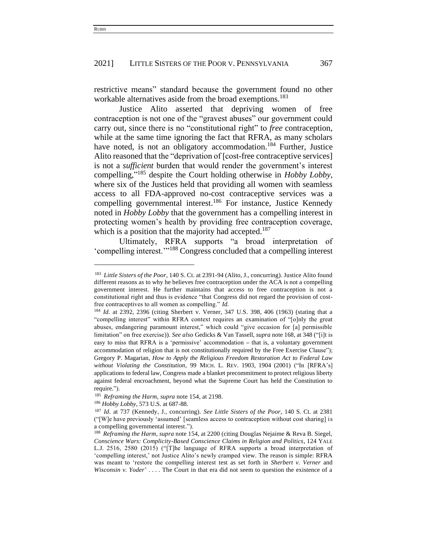restrictive means" standard because the government found no other workable alternatives aside from the broad exemptions.<sup>183</sup>

Justice Alito asserted that depriving women of free contraception is not one of the "gravest abuses" our government could carry out, since there is no "constitutional right" to *free* contraception, while at the same time ignoring the fact that RFRA, as many scholars have noted, is not an obligatory accommodation.<sup>184</sup> Further, Justice Alito reasoned that the "deprivation of [cost-free contraceptive services] is not a *sufficient* burden that would render the government's interest compelling," <sup>185</sup> despite the Court holding otherwise in *Hobby Lobby*, where six of the Justices held that providing all women with seamless access to all FDA-approved no-cost contraceptive services was a compelling governmental interest.<sup>186</sup> For instance, Justice Kennedy noted in *Hobby Lobby* that the government has a compelling interest in protecting women's health by providing free contraception coverage, which is a position that the majority had accepted.<sup>187</sup>

Ultimately, RFRA supports "a broad interpretation of 'compelling interest.'"<sup>188</sup> Congress concluded that a compelling interest

<sup>186</sup> *Hobby Lobby*, 573 U.S. at 687-88.

<sup>&</sup>lt;sup>183</sup> Little Sisters of the Poor, 140 S. Ct. at 2391-94 (Alito, J., concurring). Justice Alito found different reasons as to why he believes free contraception under the ACA is not a compelling government interest. He further maintains that access to free contraception is not a constitutional right and thus is evidence "that Congress did not regard the provision of costfree contraceptives to all women as compelling." *Id.*

<sup>184</sup> *Id.* at 2392, 2396 (citing Sherbert v. Verner, 347 U.S. 398, 406 (1963) (stating that a "compelling interest" within RFRA context requires an examination of "[o]nly the great abuses, endangering paramount interest," which could "give occasion for [a] permissible limitation" on free exercise)). *See also* Gedicks & Van Tassell, *supra* note 168, at 348 ("[i]t is easy to miss that RFRA is a 'permissive' accommodation **–** that is, a voluntary government accommodation of religion that is not constitutionally required by the Free Exercise Clause"); Gregory P. Magarian, *How to Apply the Religious Freedom Restoration Act to Federal Law without Violating the Constitution*, 99 MICH. L. REV. 1903, 1904 (2001) ("In [RFRA's] applications to federal law, Congress made a blanket precommitment to protect religious liberty against federal encroachment, beyond what the Supreme Court has held the Constitution to require.").

<sup>185</sup> *Reframing the Harm*, *supra* note 154, at 2198.

<sup>187</sup> *Id.* at 737 (Kennedy, J., concurring). *See Little Sisters of the Poor,* 140 S. Ct. at 2381 ("[W]e have previously 'assumed' [seamless access to contraception without cost sharing] is a compelling governmental interest.").

<sup>188</sup> *Reframing the Harm*, *supra* note 154, at 2200 (citing Douglas Nejaime & Reva B. Siegel, *Conscience Wars: Complicity-Based Conscience Claims in Religion and Politics*, 124 YALE L.J. 2516, 2580 (2015) ("[T]he language of RFRA supports a broad interpretation of 'compelling interest,' not Justice Alito's newly cramped view. The reason is simple: RFRA was meant to 'restore the compelling interest test as set forth in *Sherbert v. Verner* and *Wisconsin v. Yoder*' . . . . The Court in that era did not seem to question the existence of a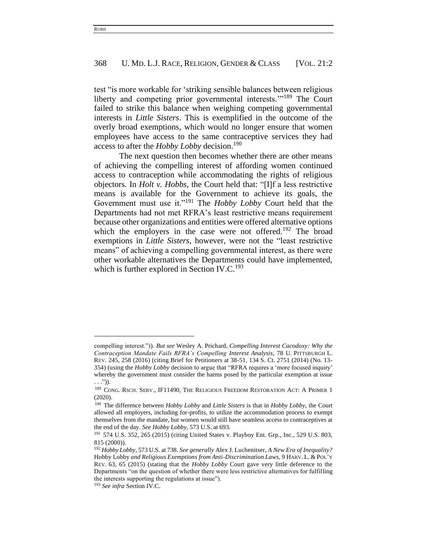test "is more workable for 'striking sensible balances between religious liberty and competing prior governmental interests."<sup>189</sup> The Court failed to strike this balance when weighing competing governmental interests in *Little Sisters*. This is exemplified in the outcome of the overly broad exemptions, which would no longer ensure that women employees have access to the same contraceptive services they had access to after the *Hobby Lobby* decision.<sup>190</sup>

The next question then becomes whether there are other means of achieving the compelling interest of affording women continued access to contraception while accommodating the rights of religious objectors. In *Holt v. Hobbs*, the Court held that: "[I]f a less restrictive means is available for the Government to achieve its goals, the Government must use it."<sup>191</sup> The *Hobby Lobby* Court held that the Departments had not met RFRA's least restrictive means requirement because other organizations and entities were offered alternative options which the employers in the case were not offered.<sup>192</sup> The broad exemptions in *Little Sisters*, however, were not the "least restrictive means" of achieving a compelling governmental interest, as there were other workable alternatives the Departments could have implemented, which is further explored in Section IV.C.<sup>193</sup>

compelling interest.")). *But see* Wesley A. Prichard, *Compelling Interest Cacodoxy: Why the Contraception Mandate Fails RFRA's Compelling Interest Analysis*, 78 U. PITTSBURGH L. REV. 245, 258 (2016) (citing Brief for Petitioners at 38-51, 134 S. Ct. 2751 (2014) (No. 13- 354) (using the *Hobby Lobby* decision to argue that "RFRA requires a 'more focused inquiry' whereby the government must consider the harms posed by the particular exemption at issue . . .")).

<sup>189</sup> CONG. RSCH. SERV., IF11490, THE RELIGIOUS FREEDOM RESTORATION ACT: A PRIMER 1 (2020).

<sup>190</sup> The difference between *Hobby Lobby* and *Little Sisters* is that in *Hobby Lobby*, the Court allowed all employers, including for-profits, to utilize the accommodation process to exempt themselves from the mandate, but women would still have seamless access to contraceptives at the end of the day. *See Hobby Lobby*, 573 U.S. at 693.

<sup>191</sup> 574 U.S. 352, 265 (2015) (citing United States v*.* Playboy Ent. Grp.*,* Inc., 529 U.S. 803, 815 (2000)).

<sup>192</sup> *Hobby Lobby*, 573 U.S. at 738. *See generally* Alex J. Luchenitser, *A New Era of Inequality?*  Hobby Lobby *and Religious Exemptions from Anti-Discrimination Laws,* 9 HARV. L. & POL'Y REV. 63, 65 (2015) (stating that the *Hobby Lobby* Court gave very little deference to the Departments "on the question of whether there were less restrictive alternatives for fulfilling the interests supporting the regulations at issue").

<sup>193</sup> *See infra* Section IV.C.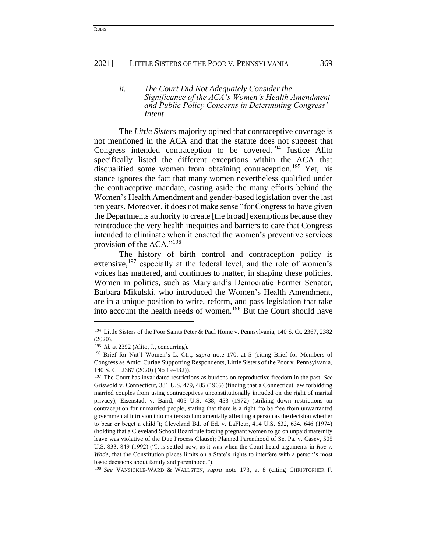### *ii. The Court Did Not Adequately Consider the Significance of the ACA's Women's Health Amendment and Public Policy Concerns in Determining Congress' Intent*

The *Little Sisters* majority opined that contraceptive coverage is not mentioned in the ACA and that the statute does not suggest that Congress intended contraception to be covered.<sup>194</sup> Justice Alito specifically listed the different exceptions within the ACA that disqualified some women from obtaining contraception.<sup>195</sup> Yet, his stance ignores the fact that many women nevertheless qualified under the contraceptive mandate, casting aside the many efforts behind the Women's Health Amendment and gender-based legislation over the last ten years. Moreover, it does not make sense "for Congress to have given the Departments authority to create [the broad] exemptions because they reintroduce the very health inequities and barriers to care that Congress intended to eliminate when it enacted the women's preventive services provision of the ACA."<sup>196</sup>

The history of birth control and contraception policy is extensive,  $197$  especially at the federal level, and the role of women's voices has mattered, and continues to matter, in shaping these policies. Women in politics, such as Maryland's Democratic Former Senator, Barbara Mikulski, who introduced the Women's Health Amendment, are in a unique position to write, reform, and pass legislation that take into account the health needs of women.<sup>198</sup> But the Court should have

<sup>&</sup>lt;sup>194</sup> Little Sisters of the Poor Saints Peter & Paul Home v. Pennsylvania, 140 S. Ct. 2367, 2382 (2020).

<sup>195</sup> *Id.* at 2392 (Alito, J., concurring).

<sup>196</sup> Brief for Nat'l Women's L. Ctr., *supra* note 170, at 5 (citing Brief for Members of Congress as Amici Curiae Supporting Respondents, Little Sisters of the Poor v. Pennsylvania, 140 S. Ct. 2367 (2020) (No 19-432)).

<sup>197</sup> The Court has invalidated restrictions as burdens on reproductive freedom in the past. *See* Griswold v. Connecticut, 381 U.S. 479, 485 (1965) (finding that a Connecticut law forbidding married couples from using contraceptives unconstitutionally intruded on the right of marital privacy); Eisenstadt v. Baird, 405 U.S. 438, 453 (1972) (striking down restrictions on contraception for unmarried people, stating that there is a right "to be free from unwarranted governmental intrusion into matters so fundamentally affecting a person as the decision whether to bear or beget a child"); Cleveland Bd. of Ed. v. LaFleur, 414 U.S. 632, 634, 646 (1974) (holding that a Cleveland School Board rule forcing pregnant women to go on unpaid maternity leave was violative of the Due Process Clause); Planned Parenthood of Se. Pa. v. Casey, 505 U.S. 833, 849 (1992) ("It is settled now, as it was when the Court heard arguments in *Roe v. Wade*, that the Constitution places limits on a State's rights to interfere with a person's most basic decisions about family and parenthood.").

<sup>198</sup> *See* VANSICKLE-WARD & WALLSTEN, *supra* note 173, at 8 (citing CHRISTOPHER F.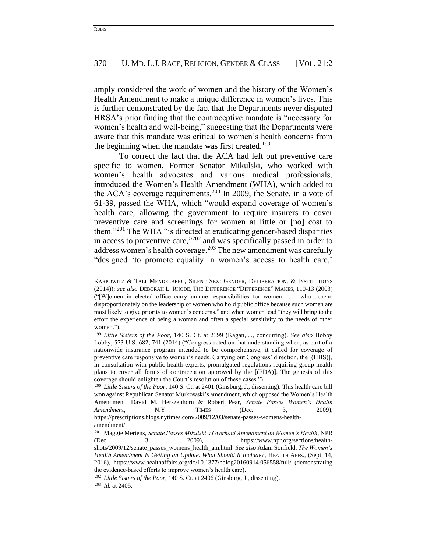amply considered the work of women and the history of the Women's Health Amendment to make a unique difference in women's lives. This is further demonstrated by the fact that the Departments never disputed HRSA's prior finding that the contraceptive mandate is "necessary for women's health and well-being," suggesting that the Departments were aware that this mandate was critical to women's health concerns from the beginning when the mandate was first created.<sup>199</sup>

To correct the fact that the ACA had left out preventive care specific to women, Former Senator Mikulski, who worked with women's health advocates and various medical professionals, introduced the Women's Health Amendment (WHA), which added to the ACA's coverage requirements.<sup>200</sup> In 2009, the Senate, in a vote of 61-39, passed the WHA, which "would expand coverage of women's health care, allowing the government to require insurers to cover preventive care and screenings for women at little or [no] cost to them."<sup>201</sup> The WHA "is directed at eradicating gender-based disparities in access to preventive care,"<sup>202</sup> and was specifically passed in order to address women's health coverage.<sup>203</sup> The new amendment was carefully "designed 'to promote equality in women's access to health care,'

KARPOWITZ & TALI MENDELBERG, SILENT SEX: GENDER, DELIBERATION, & INSTITUTIONS (2014)); *see also* DEBORAH L. RHODE, THE DIFFERENCE "DIFFERENCE" MAKES, 110-13 (2003) ("[W]omen in elected office carry unique responsibilities for women . . . . who depend disproportionately on the leadership of women who hold public office because such women are most likely to give priority to women's concerns," and when women lead "they will bring to the effort the experience of being a woman and often a special sensitivity to the needs of other women.").

<sup>199</sup> *Little Sisters of the Poor*, 140 S. Ct. at 2399 (Kagan, J., concurring). *See also* Hobby Lobby, 573 U.S. 682, 741 (2014) ("Congress acted on that understanding when, as part of a nationwide insurance program intended to be comprehensive, it called for coverage of preventive care responsive to women's needs. Carrying out Congress' direction, the [(HHS)], in consultation with public health experts, promulgated regulations requiring group health plans to cover all forms of contraception approved by the [(FDA)]. The genesis of this coverage should enlighten the Court's resolution of these cases.").

<sup>200</sup> *Little Sisters of the Poor*, 140 S. Ct. at 2401 (Ginsburg, J., dissenting). This health care bill won against Republican Senator Murkowski's amendment, which opposed the Women's Health Amendment. David M. Herszenhorn & Robert Pear, *Senate Passes Women's Health Amendment*, **N.Y. TIMES** (Dec. 3, 2009), https://prescriptions.blogs.nytimes.com/2009/12/03/senate-passes-womens-healthamendment/.

<sup>201</sup> Maggie Mertens, *Senate Passes Mikulski's Overhaul Amendment on Women's Health*, NPR (Dec. 3, 2009), https://www.npr.org/sections/healthshots/2009/12/senate\_passes\_womens\_health\_am.html. *See also* Adam Sonfield, *The Women's Health Amendment Is Getting an Update. What Should It Include?*, HEALTH AFFS., (Sept. 14, 2016), https://www.healthaffairs.org/do/10.1377/hblog20160914.056558/full/ (demonstrating the evidence-based efforts to improve women's health care).

<sup>202</sup> *Little Sisters of the Poor*, 140 S. Ct. at 2406 (Ginsburg, J., dissenting).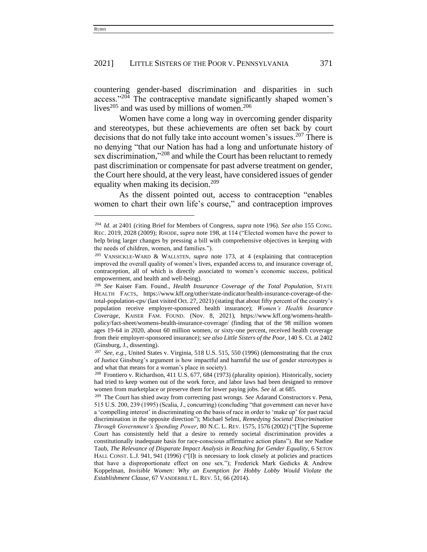countering gender-based discrimination and disparities in such access."<sup>204</sup> The contraceptive mandate significantly shaped women's lives<sup>205</sup> and was used by millions of women.<sup>206</sup>

Women have come a long way in overcoming gender disparity and stereotypes, but these achievements are often set back by court decisions that do not fully take into account women's issues.<sup>207</sup> There is no denying "that our Nation has had a long and unfortunate history of sex discrimination,"<sup>208</sup> and while the Court has been reluctant to remedy past discrimination or compensate for past adverse treatment on gender, the Court here should, at the very least, have considered issues of gender equality when making its decision.<sup>209</sup>

As the dissent pointed out, access to contraception "enables women to chart their own life's course," and contraception improves

<sup>204</sup> *Id.* at 2401 (citing Brief for Members of Congress, *supra* note 196). *See also* 155 CONG. REC. 2019, 2028 (2009); RHODE, *supra* note 198, at 114 ("Elected women have the power to help bring larger changes by pressing a bill with comprehensive objectives in keeping with the needs of children, women, and families.").

<sup>205</sup> VANSICKLE-WARD & WALLSTEN, *supra* note 173, at 4 (explaining that contraception improved the overall quality of women's lives, expanded access to, and insurance coverage of, contraception, all of which is directly associated to women's economic success, political empowerment, and health and well-being).

<sup>206</sup> *See* Kaiser Fam. Found., *Health Insurance Coverage of the Total Population*, STATE HEALTH FACTS, https://www.kff.org/other/state-indicator/health-insurance-coverage-of-thetotal-population-cps/ (last visited Oct. 27, 2021) (stating that about fifty percent of the country's population receive employer-sponsored health insurance); *Women's Health Insurance Coverage*, KAISER FAM. FOUND. (Nov. 8, 2021), https://www.kff.org/womens-healthpolicy/fact-sheet/womens-health-insurance-coverage/ (finding that of the 98 million women ages 19-64 in 2020, about 60 million women, or sixty-one percent, received health coverage from their employer-sponsored insurance); s*ee also Little Sisters of the Poor*, 140 S. Ct. at 2402 (Ginsburg, J., dissenting).

<sup>207</sup> *See, e.g.*, United States v. Virginia, 518 U.S. 515, 550 (1996) (demonstrating that the crux of Justice Ginsburg's argument is how impactful and harmful the use of gender stereotypes is and what that means for a woman's place in society).

<sup>208</sup> Frontiero v. Richardson, 411 U.S. 677, 684 (1973) (plurality opinion). Historically, society had tried to keep women out of the work force, and labor laws had been designed to remove women from marketplace or preserve them for lower paying jobs. *See id.* at 685.

<sup>209</sup> The Court has shied away from correcting past wrongs. *See* Adarand Constructors v. Pena, 515 U.S. 200, 239 (1995) (Scalia, J., concurring) (concluding "that government can never have a 'compelling interest' in discriminating on the basis of race in order to 'make up' for past racial discrimination in the opposite direction"); Michael Selmi, *Remedying Societal Discrimination Through Government's Spending Power*, 80 N.C. L. REV. 1575, 1576 (2002) ("[T]he Supreme Court has consistently held that a desire to remedy societal discrimination provides a constitutionally inadequate basis for race-conscious affirmative action plans"). *But see* Nadine Taub, *The Relevance of Disparate Impact Analysis in Reaching for Gender Equality*, 6 SETON HALL CONST. L.J. 941, 941 (1996) ("[I]t is necessary to look closely at policies and practices that have a disproportionate effect on one sex."); Frederick Mark Gedicks & Andrew Koppelman, *Invisible Women: Why an Exemption for Hobby Lobby Would Violate the Establishment Clause*, 67 VANDERBILT L. REV. 51, 66 (2014).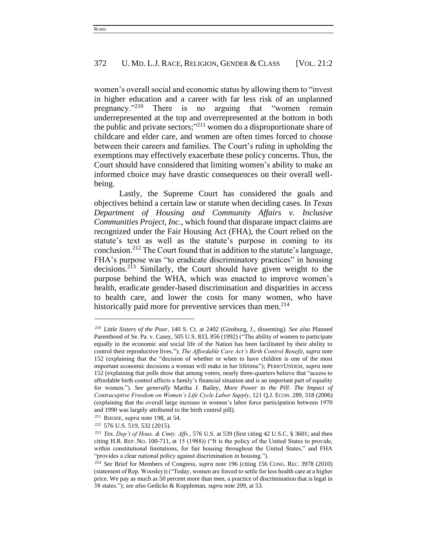women's overall social and economic status by allowing them to "invest in higher education and a career with far less risk of an unplanned pregnancy."<sup>210</sup> There is no arguing that "women remain underrepresented at the top and overrepresented at the bottom in both the public and private sectors;" <sup>211</sup> women do a disproportionate share of childcare and elder care, and women are often times forced to choose between their careers and families. The Court's ruling in upholding the exemptions may effectively exacerbate these policy concerns. Thus, the Court should have considered that limiting women's ability to make an informed choice may have drastic consequences on their overall wellbeing.

Lastly, the Supreme Court has considered the goals and objectives behind a certain law or statute when deciding cases. In *Texas Department of Housing and Community Affairs v. Inclusive Communities Project, Inc.*, which found that disparate impact claims are recognized under the Fair Housing Act (FHA), the Court relied on the statute's text as well as the statute's purpose in coming to its conclusion.<sup>212</sup> The Court found that in addition to the statute's language, FHA's purpose was "to eradicate discriminatory practices" in housing decisions.<sup>213</sup> Similarly, the Court should have given weight to the purpose behind the WHA, which was enacted to improve women's health, eradicate gender-based discrimination and disparities in access to health care, and lower the costs for many women, who have historically paid more for preventive services than men. $2^{14}$ 

<sup>210</sup> *Little Sisters of the Poor*, 140 S. Ct. at 2402 (Ginsburg, J., dissenting). *See also* Planned Parenthood of Se. Pa. v. Casey, 505 U.S. 833, 856 (1992) ("The ability of women to participate equally in the economic and social life of the Nation has been facilitated by their ability to control their reproductive lives."); *The Affordable Care Act's Birth Control Benefit*, *supra* note 152 (explaining that the "decision of whether or when to have children is one of the most important economic decisions a woman will make in her lifetime"); PERRYUNDEM, *supra* note 152 (explaining that polls show that among voters, nearly three-quarters believe that "access to affordable birth control affects a family's financial situation and is an important part of equality for women."). *See generally* Martha J. Bailey, *More Power to the Pill: The Impact of Contraceptive Freedom on Women's Life Cycle Labor Supply*, 121 Q.J. ECON. 289, 318 (2006) (explaining that the overall large increase in women's labor force participation between 1970 and 1990 was largely attributed to the birth control pill).

<sup>211</sup> RHODE, *supra* note 198, at 54.

<sup>212</sup> 576 U.S. 519, 532 (2015).

<sup>213</sup> *Tex. Dep't of Hous. & Cmty. Affs.*, 576 U.S. at 539 (first citing 42 U.S.C. § 3601; and then citing H.R. REP. NO. 100-711, at 15 (1988)) ("It is the policy of the United States to provide, within constitutional limitations, for fair housing throughout the United States," and FHA "provides a clear national policy against discrimination in housing.").

<sup>214</sup> *See* Brief for Members of Congress, *supra* note 196 (citing 156 CONG. REC. 3978 (2010) (statement of Rep. Woosley)) ("Today, women are forced to settle for less health care at a higher price. We pay as much as 50 percent more than men, a practice of discrimination that is legal in 38 states."); *see also* Gedicks & Koppleman, *supra* note 209, at 53.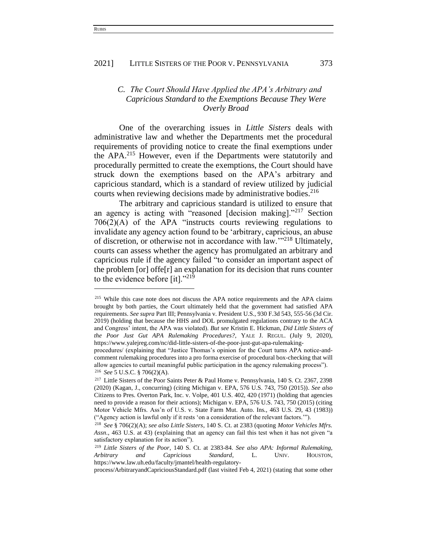# *C. The Court Should Have Applied the APA's Arbitrary and Capricious Standard to the Exemptions Because They Were Overly Broad*

One of the overarching issues in *Little Sisters* deals with administrative law and whether the Departments met the procedural requirements of providing notice to create the final exemptions under the APA.<sup>215</sup> However, even if the Departments were statutorily and procedurally permitted to create the exemptions, the Court should have struck down the exemptions based on the APA's arbitrary and capricious standard, which is a standard of review utilized by judicial courts when reviewing decisions made by administrative bodies. 216

The arbitrary and capricious standard is utilized to ensure that an agency is acting with "reasoned [decision making]."<sup>217</sup> Section 706(2)(A) of the APA "instructs courts reviewing regulations to invalidate any agency action found to be 'arbitrary, capricious, an abuse of discretion, or otherwise not in accordance with law.'"<sup>218</sup> Ultimately, courts can assess whether the agency has promulgated an arbitrary and capricious rule if the agency failed "to consider an important aspect of the problem [or] offe[r] an explanation for its decision that runs counter to the evidence before [it]."<sup>219</sup>

<sup>&</sup>lt;sup>215</sup> While this case note does not discuss the APA notice requirements and the APA claims brought by both parties, the Court ultimately held that the government had satisfied APA requirements. *See supra* Part III; Pennsylvania v. President U.S., 930 F.3d 543, 555-56 (3d Cir. 2019) (holding that because the HHS and DOL promulgated regulations contrary to the ACA and Congress' intent, the APA was violated). *But see* Kristin E. Hickman, *Did Little Sisters of the Poor Just Gut APA Rulemaking Procedures?*, YALE J. REGUL. (July 9, 2020), https://www.yalejreg.com/nc/did-little-sisters-of-the-poor-just-gut-apa-rulemaking-

procedures/ (explaining that "Justice Thomas's opinion for the Court turns APA notice-andcomment rulemaking procedures into a pro forma exercise of procedural box-checking that will allow agencies to curtail meaningful public participation in the agency rulemaking process"). <sup>216</sup> *See* 5 U.S.C. § 706(2)(A).

<sup>&</sup>lt;sup>217</sup> Little Sisters of the Poor Saints Peter & Paul Home v. Pennsylvania, 140 S. Ct. 2367, 2398 (2020) (Kagan, J., concurring) (citing Michigan v. EPA, 576 U.S. 743, 750 (2015)). *See also* Citizens to Pres. Overton Park, Inc. v. Volpe, 401 U.S. 402, 420 (1971) (holding that agencies need to provide a reason for their actions); Michigan v. EPA, 576 U.S. 743, 750 (2015) (citing Motor Vehicle Mfrs. Ass'n of U.S. v. State Farm Mut. Auto. Ins*.,* 463 U.S. 29, 43 (1983)) ("Agency action is lawful only if it rests 'on a consideration of the relevant factors.'").

<sup>218</sup> *See* § 706(2)(A); *see also Little Sisters*, 140 S. Ct. at 2383 (quoting *Motor Vehicles Mfrs. Assn.*, 463 U.S. at 43) (explaining that an agency can fail this test when it has not given "a satisfactory explanation for its action").

<sup>219</sup> *Little Sisters of the Poor*, 140 S. Ct. at 2383-84. *See also APA: Informal Rulemaking, Arbitrary and Capricious Standard*, L. UNIV. HOUSTON, https://www.law.uh.edu/faculty/jmantel/health-regulatory-

process/ArbitraryandCapriciousStandard.pdf (last visited Feb 4, 2021) (stating that some other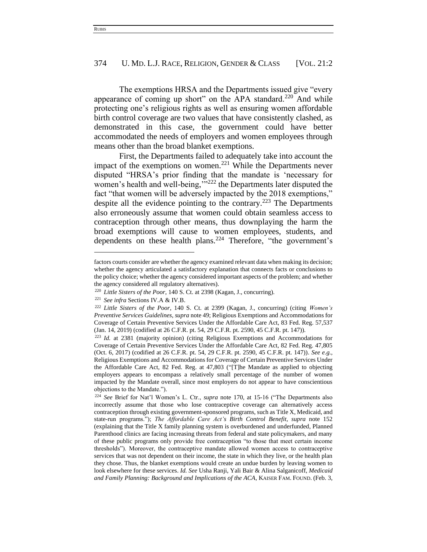The exemptions HRSA and the Departments issued give "every appearance of coming up short" on the APA standard.<sup>220</sup> And while protecting one's religious rights as well as ensuring women affordable birth control coverage are two values that have consistently clashed, as demonstrated in this case, the government could have better accommodated the needs of employers and women employees through means other than the broad blanket exemptions.

First, the Departments failed to adequately take into account the impact of the exemptions on women.<sup>221</sup> While the Departments never disputed "HRSA's prior finding that the mandate is 'necessary for women's health and well-being,"<sup>222</sup> the Departments later disputed the fact "that women will be adversely impacted by the 2018 exemptions," despite all the evidence pointing to the contrary.<sup>223</sup> The Departments also erroneously assume that women could obtain seamless access to contraception through other means, thus downplaying the harm the broad exemptions will cause to women employees, students, and dependents on these health plans.<sup>224</sup> Therefore, "the government's

factors courts consider are whether the agency examined relevant data when making its decision; whether the agency articulated a satisfactory explanation that connects facts or conclusions to the policy choice; whether the agency considered important aspects of the problem; and whether the agency considered all regulatory alternatives).

<sup>220</sup> *Little Sisters of the Poor*, 140 S. Ct. at 2398 (Kagan, J., concurring).

<sup>221</sup> *See infra* Sections IV.A & IV.B.

<sup>222</sup> *Little Sisters of the Poor*, 140 S. Ct. at 2399 (Kagan, J., concurring) (citing *Women's Preventive Services Guidelines*, *supra* note 49; Religious Exemptions and Accommodations for Coverage of Certain Preventive Services Under the Affordable Care Act, 83 Fed. Reg. 57,537 (Jan. 14, 2019) (codified at 26 C.F.R. pt. 54, 29 C.F.R. pt. 2590, 45 C.F.R. pt. 147)).

<sup>223</sup> *Id.* at 2381 (majority opinion) (citing Religious Exemptions and Accommodations for Coverage of Certain Preventive Services Under the Affordable Care Act, 82 Fed. Reg. 47,805 (Oct. 6, 2017) (codified at 26 C.F.R. pt. 54, 29 C.F.R. pt. 2590, 45 C.F.R. pt. 147)). *See e.g.,* Religious Exemptions and Accommodations for Coverage of Certain Preventive Services Under the Affordable Care Act, 82 Fed. Reg. at 47,803 ("[T]he Mandate as applied to objecting employers appears to encompass a relatively small percentage of the number of women impacted by the Mandate overall, since most employers do not appear to have conscientious objections to the Mandate.").

<sup>224</sup> *See* Brief for Nat'l Women's L. Ctr., *supra* note 170, at 15-16 ("The Departments also incorrectly assume that those who lose contraceptive coverage can alternatively access contraception through existing government-sponsored programs, such as Title X, Medicaid, and state-run programs."); *The Affordable Care Act's Birth Control Benefit*, *supra* note 152 (explaining that the Title X family planning system is overburdened and underfunded, Planned Parenthood clinics are facing increasing threats from federal and state policymakers, and many of these public programs only provide free contraception "to those that meet certain income thresholds"). Moreover, the contraceptive mandate allowed women access to contraceptive services that was not dependent on their income, the state in which they live, or the health plan they chose. Thus, the blanket exemptions would create an undue burden by leaving women to look elsewhere for these services. *Id. See* Usha Ranji, Yali Bair & Alina Salganicoff, *Medicaid and Family Planning: Background and Implications of the ACA*, KAISER FAM. FOUND. (Feb. 3,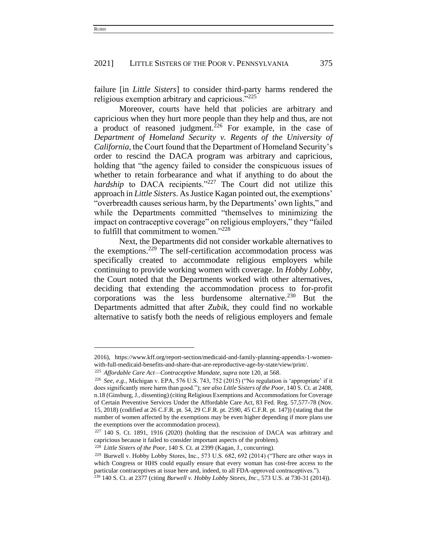failure [in *Little Sisters*] to consider third-party harms rendered the religious exemption arbitrary and capricious."<sup>225</sup>

Moreover, courts have held that policies are arbitrary and capricious when they hurt more people than they help and thus, are not a product of reasoned judgment.<sup>226</sup> For example, in the case of *Department of Homeland Security v. Regents of the University of California*, the Court found that the Department of Homeland Security's order to rescind the DACA program was arbitrary and capricious, holding that "the agency failed to consider the conspicuous issues of whether to retain forbearance and what if anything to do about the *hardship* to DACA recipients."<sup>227</sup> The Court did not utilize this approach in *Little Sisters*. As Justice Kagan pointed out, the exemptions' "overbreadth causes serious harm, by the Departments' own lights," and while the Departments committed "themselves to minimizing the impact on contraceptive coverage" on religious employers," they "failed to fulfill that commitment to women."<sup>228</sup>

Next, the Departments did not consider workable alternatives to the exemptions.<sup>229</sup> The self-certification accommodation process was specifically created to accommodate religious employers while continuing to provide working women with coverage. In *Hobby Lobby*, the Court noted that the Departments worked with other alternatives, deciding that extending the accommodation process to for-profit corporations was the less burdensome alternative.<sup>230</sup> But the Departments admitted that after *Zubik*, they could find no workable alternative to satisfy both the needs of religious employers and female

<sup>2016),</sup> https://www.kff.org/report-section/medicaid-and-family-planning-appendix-1-womenwith-full-medicaid-benefits-and-share-that-are-reproductive-age-by-state/view/print/.

<sup>225</sup> *Affordable Care Act—Contraceptive Mandate*, *supra* note 120, at 568.

<sup>&</sup>lt;sup>226</sup> *See, e.g.*, Michigan v. EPA, 576 U.S. 743, 752 (2015) ("No regulation is 'appropriate' if it does significantly more harm than good."); *see also Little Sisters of the Poor*, 140 S. Ct. at 2408, n.18 (Ginsburg, J., dissenting) (citing Religious Exemptions and Accommodations for Coverage of Certain Preventive Services Under the Affordable Care Act, 83 Fed. Reg. 57,577-78 (Nov. 15, 2018) (codified at 26 C.F.R. pt. 54, 29 C.F.R. pt. 2590, 45 C.F.R. pt. 147)) (stating that the number of women affected by the exemptions may be even higher depending if more plans use the exemptions over the accommodation process).

<sup>227</sup> 140 S. Ct. 1891, 1916 (2020) (holding that the rescission of DACA was arbitrary and capricious because it failed to consider important aspects of the problem).

<sup>228</sup> *Little Sisters of the Poor*, 140 S. Ct. at 2399 (Kagan, J., concurring).

<sup>229</sup> Burwell v. Hobby Lobby Stores, Inc., 573 U.S. 682, 692 (2014) ("There are other ways in which Congress or HHS could equally ensure that every woman has cost-free access to the particular contraceptives at issue here and, indeed, to all FDA-approved contraceptives.").

<sup>230</sup> 140 S. Ct. at 2377 (citing *Burwell v. Hobby Lobby Stores, Inc*., 573 U.S. at 730-31 (2014)).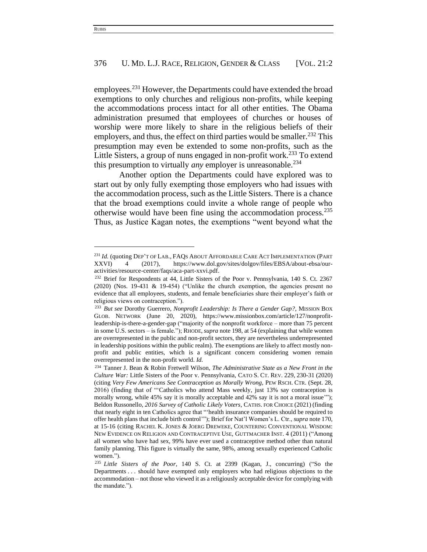employees.<sup>231</sup> However, the Departments could have extended the broad exemptions to only churches and religious non-profits, while keeping the accommodations process intact for all other entities. The Obama administration presumed that employees of churches or houses of worship were more likely to share in the religious beliefs of their employers, and thus, the effect on third parties would be smaller.<sup>232</sup> This presumption may even be extended to some non-profits, such as the Little Sisters, a group of nuns engaged in non-profit work.<sup>233</sup> To extend this presumption to virtually *any* employer is unreasonable.<sup>234</sup>

Another option the Departments could have explored was to start out by only fully exempting those employers who had issues with the accommodation process, such as the Little Sisters. There is a chance that the broad exemptions could invite a whole range of people who otherwise would have been fine using the accommodation process.<sup>235</sup> Thus, as Justice Kagan notes, the exemptions "went beyond what the

<sup>&</sup>lt;sup>231</sup> *Id.* (quoting DEP'T OF LAB., FAQS ABOUT AFFORDABLE CARE ACT IMPLEMENTATION (PART XXVI) 4 (2017), https://www.dol.gov/sites/dolgov/files/EBSA/about-ebsa/ouractivities/resource-center/faqs/aca-part-xxvi.pdf.

<sup>232</sup> Brief for Respondents at 44, Little Sisters of the Poor v. Pennsylvania, 140 S. Ct. 2367 (2020) (Nos. 19-431 & 19-454) ("Unlike the church exemption, the agencies present no evidence that all employees, students, and female beneficiaries share their employer's faith or religious views on contraception.").

<sup>233</sup> *But see* Dorothy Guerrero, *Nonprofit Leadership: Is There a Gender Gap?*, MISSION BOX GLOB. NETWORK (June 20, 2020), https://www.missionbox.com/article/127/nonprofitleadership-is-there-a-gender-gap ("majority of the nonprofit workforce – more than 75 percent in some U.S. sectors – is female."); RHODE,*supra* note 198, at 54 (explaining that while women are overrepresented in the public and non-profit sectors, they are nevertheless underrepresented in leadership positions within the public realm). The exemptions are likely to affect mostly nonprofit and public entities, which is a significant concern considering women remain overrepresented in the non-profit world. *Id.*

<sup>234</sup> Tanner J. Bean & Robin Fretwell Wilson, *The Administrative State as a New Front in the Culture War:* Little Sisters of the Poor v. Pennsylvania, CATO S. CT. REV. 229, 230-31 (2020) (citing *Very Few Americans See Contraception as Morally Wrong,* PEW RSCH. CTR. (Sept. 28, 2016) (finding that of "'Catholics who attend Mass weekly, just 13% say contraception is morally wrong, while 45% say it is morally acceptable and 42% say it is not a moral issue""); Beldon Russonello, *2016 Survey of Catholic Likely Voters*, CATHS. FOR CHOICE (2021) (finding that nearly eight in ten Catholics agree that "'health insurance companies should be required to offer health plans that include birth control'"); Brief for Nat'l Women's L. Ctr., *supra* note 170, at 15-16 (citing RACHEL K. JONES & JOERG DREWEKE, COUNTERING CONVENTIONAL WISDOM: NEW EVIDENCE ON RELIGION AND CONTRACEPTIVE USE, GUTTMACHER INST. 4 (2011) ("Among all women who have had sex, 99% have ever used a contraceptive method other than natural family planning. This figure is virtually the same, 98%, among sexually experienced Catholic women.").

<sup>235</sup> *Little Sisters of the Poor*, 140 S. Ct. at 2399 (Kagan, J., concurring) ("So the Departments . . . should have exempted only employers who had religious objections to the accommodation – not those who viewed it as a religiously acceptable device for complying with the mandate.").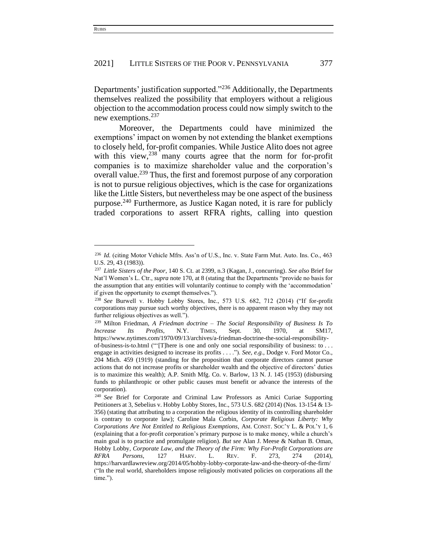Departments' justification supported."<sup>236</sup> Additionally, the Departments themselves realized the possibility that employers without a religious objection to the accommodation process could now simply switch to the new exemptions. $237$ 

Moreover, the Departments could have minimized the exemptions' impact on women by not extending the blanket exemptions to closely held, for-profit companies. While Justice Alito does not agree with this view, $238$  many courts agree that the norm for for-profit companies is to maximize shareholder value and the corporation's overall value.<sup>239</sup> Thus, the first and foremost purpose of any corporation is not to pursue religious objectives, which is the case for organizations like the Little Sisters, but nevertheless may be one aspect of the business purpose.<sup>240</sup> Furthermore, as Justice Kagan noted, it is rare for publicly traded corporations to assert RFRA rights, calling into question

<sup>236</sup> *Id.* (citing Motor Vehicle Mfrs. Ass'n of U.S., Inc. v. State Farm Mut. Auto. Ins. Co., 463 U.S. 29, 43 (1983)).

<sup>237</sup> *Little Sisters of the Poor*, 140 S. Ct. at 2399, n.3 (Kagan, J., concurring). *See also* Brief for Nat'l Women's L. Ctr., *supra* note 170, at 8 (stating that the Departments "provide no basis for the assumption that any entities will voluntarily continue to comply with the 'accommodation' if given the opportunity to exempt themselves.").

<sup>238</sup> *See* Burwell v. Hobby Lobby Stores, Inc., 573 U.S. 682, 712 (2014) ("If for-profit corporations may pursue such worthy objectives, there is no apparent reason why they may not further religious objectives as well.").

<sup>239</sup> Milton Friedman, *A Friedman doctrine – The Social Responsibility of Business Is To Increase Its Profits*, N.Y. TIMES, Sept. 30, 1970, at SM17, https://www.nytimes.com/1970/09/13/archives/a-friedman-doctrine-the-social-responsibility-

of-business-is-to.html ("'[T]here is one and only one social responsibility of business: to . . . engage in activities designed to increase its profits . . . ."). *See, e.g.*, Dodge v. Ford Motor Co., 204 Mich. 459 (1919) (standing for the proposition that corporate directors cannot pursue actions that do not increase profits or shareholder wealth and the objective of directors' duties is to maximize this wealth); A.P. Smith Mfg. Co. v. Barlow, 13 N. J. 145 (1953) (disbursing funds to philanthropic or other public causes must benefit or advance the interests of the corporation).

<sup>240</sup> *See* Brief for Corporate and Criminal Law Professors as Amici Curiae Supporting Petitioners at 3, Sebelius v. Hobby Lobby Stores, Inc., 573 U.S. 682 (2014) (Nos. 13-154 & 13- 356) (stating that attributing to a corporation the religious identity of its controlling shareholder is contrary to corporate law); Caroline Mala Corbin, *Corporate Religious Liberty: Why Corporations Are Not Entitled to Religious Exemptions*, AM. CONST. SOC'Y L. & POL'Y 1, 6 (explaining that a for-profit corporation's primary purpose is to make money, while a church's main goal is to practice and promulgate religion). *But see* Alan J. Meese & Nathan B. Oman, Hobby Lobby*, Corporate Law, and the Theory of the Firm: Why For-Profit Corporations are RFRA Persons*, 127 HARV. L. REV. F. 273, 274 (2014), https://harvardlawreview.org/2014/05/hobby-lobby-corporate-law-and-the-theory-of-the-firm/ ("In the real world, shareholders impose religiously motivated policies on corporations all the time.").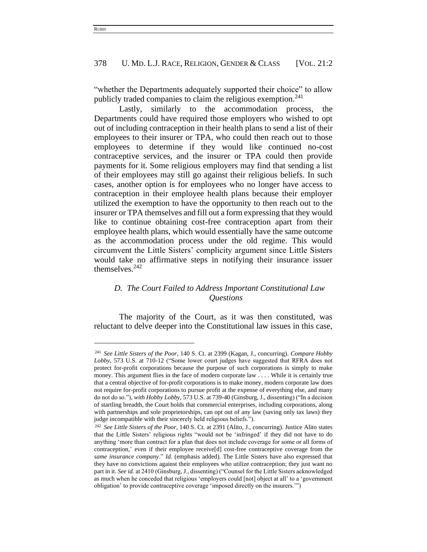"whether the Departments adequately supported their choice" to allow publicly traded companies to claim the religious exemption.<sup>241</sup>

Lastly, similarly to the accommodation process, the Departments could have required those employers who wished to opt out of including contraception in their health plans to send a list of their employees to their insurer or TPA, who could then reach out to those employees to determine if they would like continued no-cost contraceptive services, and the insurer or TPA could then provide payments for it. Some religious employers may find that sending a list of their employees may still go against their religious beliefs. In such cases, another option is for employees who no longer have access to contraception in their employee health plans because their employer utilized the exemption to have the opportunity to then reach out to the insurer or TPA themselves and fill out a form expressing that they would like to continue obtaining cost-free contraception apart from their employee health plans, which would essentially have the same outcome as the accommodation process under the old regime. This would circumvent the Little Sisters' complicity argument since Little Sisters would take no affirmative steps in notifying their insurance issuer themselves. $242$ 

# *D. The Court Failed to Address Important Constitutional Law Questions*

The majority of the Court, as it was then constituted, was reluctant to delve deeper into the Constitutional law issues in this case,

<sup>241</sup> *See Little Sisters of the Poor*, 140 S. Ct. at 2399 (Kagan, J., concurring). *Compare Hobby Lobby*, 573 U.S. at 710-12 ("Some lower court judges have suggested that RFRA does not protect for-profit corporations because the purpose of such corporations is simply to make money. This argument flies in the face of modern corporate law . . . . While it is certainly true that a central objective of for-profit corporations is to make money, modern corporate law does not require for-profit corporations to pursue profit at the expense of everything else, and many do not do so."), *with Hobby Lobby*, 573 U.S. at 739-40 (Ginsburg, J., dissenting) ("In a decision of startling breadth, the Court holds that commercial enterprises, including corporations, along with partnerships and sole proprietorships, can opt out of any law (saving only tax laws) they judge incompatible with their sincerely held religious beliefs.").

<sup>242</sup> *See Little Sisters of the Poor*, 140 S. Ct. at 2391 (Alito, J., concurring). Justice Alito states that the Little Sisters' religious rights "would not be 'infringed' if they did not have to do anything 'more than contract for a plan that does not include coverage for some or all forms of contraception,' even if their employee receive[d] cost-free contraceptive coverage from the *same insurance company*." *Id.* (emphasis added). The Little Sisters have also expressed that they have no convictions against their employees who utilize contraception; they just want no part in it. *See id.* at 2410 (Ginsburg, J., dissenting) ("Counsel for the Little Sisters acknowledged as much when he conceded that religious 'employers could [not] object at all' to a 'government obligation' to provide contraceptive coverage 'imposed directly on the insurers.'")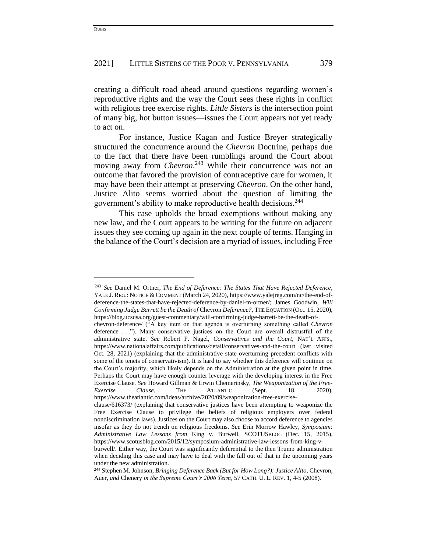creating a difficult road ahead around questions regarding women's reproductive rights and the way the Court sees these rights in conflict with religious free exercise rights. *Little Sisters* is the intersection point of many big, hot button issues—issues the Court appears not yet ready to act on.

For instance, Justice Kagan and Justice Breyer strategically structured the concurrence around the *Chevron* Doctrine, perhaps due to the fact that there have been rumblings around the Court about moving away from *Chevron*. <sup>243</sup> While their concurrence was not an outcome that favored the provision of contraceptive care for women, it may have been their attempt at preserving *Chevron*. On the other hand, Justice Alito seems worried about the question of limiting the government's ability to make reproductive health decisions.<sup>244</sup>

This case upholds the broad exemptions without making any new law, and the Court appears to be writing for the future on adjacent issues they see coming up again in the next couple of terms. Hanging in the balance of the Court's decision are a myriad of issues, including Free

<sup>243</sup> *See* Daniel M. Ortner, *The End of Deference: The States That Have Rejected Deference*, YALE J. REG.: NOTICE & COMMENT (March 24, 2020), https://www.yalejreg.com/nc/the-end-ofdeference-the-states-that-have-rejected-deference-by-daniel-m-ortner/; James Goodwin, *Will Confirming Judge Barrett be the Death of* Chevron *Deference?*, THE EQUATION (Oct. 15, 2020), https://blog.ucsusa.org/guest-commentary/will-confirming-judge-barrett-be-the-death-of-

chevron-deference/ ("A key item on that agenda is overturning something called *Chevron* deference . . ."). Many conservative justices on the Court are overall distrustful of the administrative state. *See* Robert F. Nagel, *Conservatives and the Court*, NAT'L AFFS., https://www.nationalaffairs.com/publications/detail/conservatives-and-the-court (last visited Oct. 28, 2021) (explaining that the administrative state overturning precedent conflicts with some of the tenets of conservativism). It is hard to say whether this deference will continue on the Court's majority, which likely depends on the Administration at the given point in time. Perhaps the Court may have enough counter leverage with the developing interest in the Free Exercise Clause. *See* Howard Gillman & Erwin Chemerinsky, *The Weaponization of the Free-Exercise Clause*, THE ATLANTIC (Sept. 18, 2020),

[https://www.theatlantic.com/ideas/archive/2020/09/weaponization-free-exercise-](https://www.theatlantic.com/ideas/archive/2020/09/weaponization-free-exercise-clause/616373/)

[clause/616373/](https://www.theatlantic.com/ideas/archive/2020/09/weaponization-free-exercise-clause/616373/) (explaining that conservative justices have been attempting to weaponize the Free Exercise Clause to privilege the beliefs of religious employers over federal nondiscrimination laws). Justices on the Court may also choose to accord deference to agencies insofar as they do not trench on religious freedoms. *See* Erin Morrow Hawley, *Symposium: Administrative Law Lessons from* King v. Burwell, SCOTUSBLOG (Dec. 15, 2015), https://www.scotusblog.com/2015/12/symposium-administrative-law-lessons-from-king-v-

burwell/. Either way, the Court was significantly deferential to the then Trump administration when deciding this case and may have to deal with the fall out of that in the upcoming years under the new administration.

<sup>&</sup>lt;sup>244</sup> Stephen M. Johnson, *Bringing Deference Back (But for How Long?): Justice Alito, Chevron,* Auer*, and* Chenery *in the Supreme Court's 2006 Term*, 57 CATH. U. L. REV. 1, 4-5 (2008).